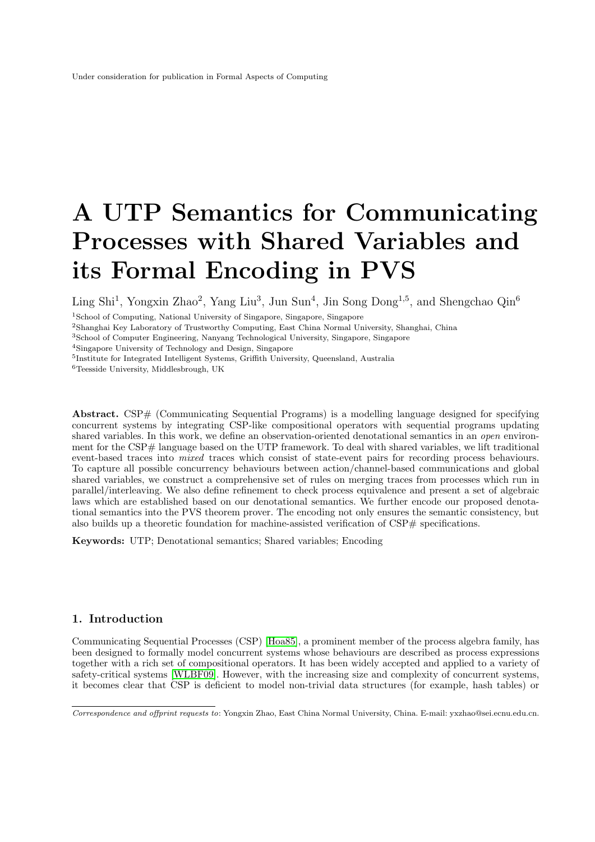Ling Shi<sup>1</sup>, Yongxin Zhao<sup>2</sup>, Yang Liu<sup>3</sup>, Jun Sun<sup>4</sup>, Jin Song Dong<sup>1,5</sup>, and Shengchao Qin<sup>6</sup>

<sup>1</sup>School of Computing, National University of Singapore, Singapore, Singapore

<sup>2</sup>Shanghai Key Laboratory of Trustworthy Computing, East China Normal University, Shanghai, China

<sup>3</sup>School of Computer Engineering, Nanyang Technological University, Singapore, Singapore

<sup>4</sup>Singapore University of Technology and Design, Singapore

5 Institute for Integrated Intelligent Systems, Griffith University, Queensland, Australia

 $^6$  Teesside University, Middlesbrough, UK

Abstract. CSP# (Communicating Sequential Programs) is a modelling language designed for specifying concurrent systems by integrating CSP-like compositional operators with sequential programs updating shared variables. In this work, we define an observation-oriented denotational semantics in an open environment for the CSP# language based on the UTP framework. To deal with shared variables, we lift traditional event-based traces into mixed traces which consist of state-event pairs for recording process behaviours. To capture all possible concurrency behaviours between action/channel-based communications and global shared variables, we construct a comprehensive set of rules on merging traces from processes which run in parallel/interleaving. We also define refinement to check process equivalence and present a set of algebraic laws which are established based on our denotational semantics. We further encode our proposed denotational semantics into the PVS theorem prover. The encoding not only ensures the semantic consistency, but also builds up a theoretic foundation for machine-assisted verification of  $\text{CSP$\#}$  specifications.

Keywords: UTP; Denotational semantics; Shared variables; Encoding

# 1. Introduction

Communicating Sequential Processes (CSP) [\[Hoa85\]](#page-28-0), a prominent member of the process algebra family, has been designed to formally model concurrent systems whose behaviours are described as process expressions together with a rich set of compositional operators. It has been widely accepted and applied to a variety of safety-critical systems [\[WLBF09\]](#page-29-0). However, with the increasing size and complexity of concurrent systems, it becomes clear that CSP is deficient to model non-trivial data structures (for example, hash tables) or

Correspondence and offprint requests to: Yongxin Zhao, East China Normal University, China. E-mail: yxzhao@sei.ecnu.edu.cn.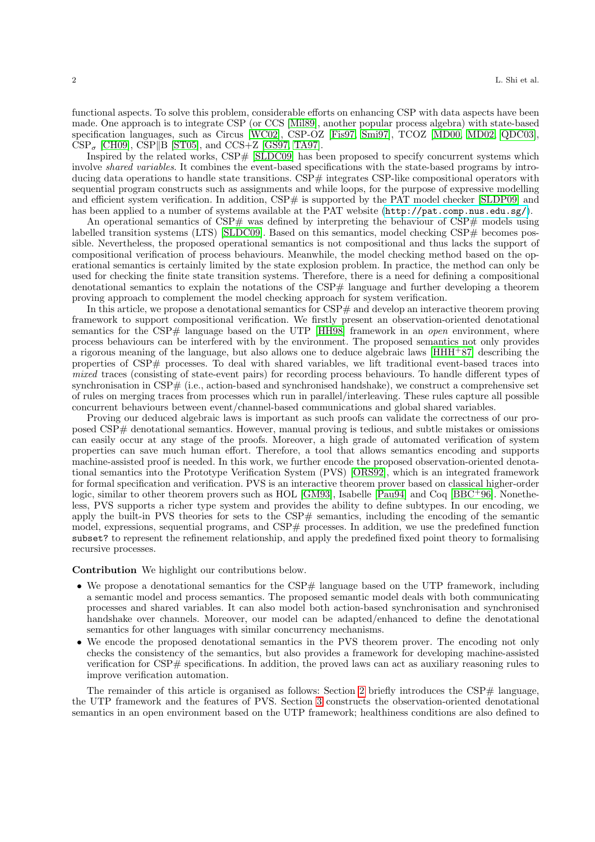functional aspects. To solve this problem, considerable efforts on enhancing CSP with data aspects have been made. One approach is to integrate CSP (or CCS [\[Mil89\]](#page-28-1), another popular process algebra) with state-based specification languages, such as Circus [\[WC02\]](#page-29-1), CSP-OZ [\[Fis97,](#page-28-2) [Smi97\]](#page-29-2), TCOZ [\[MD00,](#page-28-3) [MD02,](#page-28-4) [QDC03\]](#page-29-3),  $CSP_{\sigma}$  [\[CH09\]](#page-28-5), CSP||B [\[ST05\]](#page-29-4), and CCS+Z [\[GS97,](#page-28-6) [TA97\]](#page-29-5).

Inspired by the related works, CSP# [\[SLDC09\]](#page-29-6) has been proposed to specify concurrent systems which involve shared variables. It combines the event-based specifications with the state-based programs by introducing data operations to handle state transitions.  $CSP\#$  integrates CSP-like compositional operators with sequential program constructs such as assignments and while loops, for the purpose of expressive modelling and efficient system verification. In addition,  $CSP\#$  is supported by the PAT model checker [\[SLDP09\]](#page-29-7) and has been applied to a number of systems available at the PAT website (<http://pat.comp.nus.edu.sg/>).

An operational semantics of  $CSP\#$  was defined by interpreting the behaviour of  $CSP\#$  models using labelled transition systems (LTS) [\[SLDC09\]](#page-29-6). Based on this semantics, model checking CSP# becomes possible. Nevertheless, the proposed operational semantics is not compositional and thus lacks the support of compositional verification of process behaviours. Meanwhile, the model checking method based on the operational semantics is certainly limited by the state explosion problem. In practice, the method can only be used for checking the finite state transition systems. Therefore, there is a need for defining a compositional denotational semantics to explain the notations of the CSP# language and further developing a theorem proving approach to complement the model checking approach for system verification.

In this article, we propose a denotational semantics for CSP# and develop an interactive theorem proving framework to support compositional verification. We firstly present an observation-oriented denotational semantics for the  $CSP#$  language based on the UTP [\[HH98\]](#page-28-7) framework in an *open* environment, where process behaviours can be interfered with by the environment. The proposed semantics not only provides a rigorous meaning of the language, but also allows one to deduce algebraic laws [\[HHH](#page-28-8)+87] describing the properties of CSP# processes. To deal with shared variables, we lift traditional event-based traces into mixed traces (consisting of state-event pairs) for recording process behaviours. To handle different types of synchronisation in  $CSP\#$  (i.e., action-based and synchronised handshake), we construct a comprehensive set of rules on merging traces from processes which run in parallel/interleaving. These rules capture all possible concurrent behaviours between event/channel-based communications and global shared variables.

Proving our deduced algebraic laws is important as such proofs can validate the correctness of our proposed CSP# denotational semantics. However, manual proving is tedious, and subtle mistakes or omissions can easily occur at any stage of the proofs. Moreover, a high grade of automated verification of system properties can save much human effort. Therefore, a tool that allows semantics encoding and supports machine-assisted proof is needed. In this work, we further encode the proposed observation-oriented denotational semantics into the Prototype Verification System (PVS) [\[ORS92\]](#page-28-9), which is an integrated framework for formal specification and verification. PVS is an interactive theorem prover based on classical higher-order logic, similar to other theorem provers such as HOL [\[GM93\]](#page-28-10), Isabelle [\[Pau94\]](#page-28-11) and Coq [\[BBC](#page-28-12)+96]. Nonetheless, PVS supports a richer type system and provides the ability to define subtypes. In our encoding, we apply the built-in PVS theories for sets to the  $CSP\#$  semantics, including the encoding of the semantic model, expressions, sequential programs, and  $CSP#$  processes. In addition, we use the predefined function subset? to represent the refinement relationship, and apply the predefined fixed point theory to formalising recursive processes.

Contribution We highlight our contributions below.

- We propose a denotational semantics for the CSP# language based on the UTP framework, including a semantic model and process semantics. The proposed semantic model deals with both communicating processes and shared variables. It can also model both action-based synchronisation and synchronised handshake over channels. Moreover, our model can be adapted/enhanced to define the denotational semantics for other languages with similar concurrency mechanisms.
- We encode the proposed denotational semantics in the PVS theorem prover. The encoding not only checks the consistency of the semantics, but also provides a framework for developing machine-assisted verification for CSP# specifications. In addition, the proved laws can act as auxiliary reasoning rules to improve verification automation.

The remainder of this article is organised as follows: Section [2](#page-2-0) briefly introduces the  $CSP#$  language, the UTP framework and the features of PVS. Section [3](#page-6-0) constructs the observation-oriented denotational semantics in an open environment based on the UTP framework; healthiness conditions are also defined to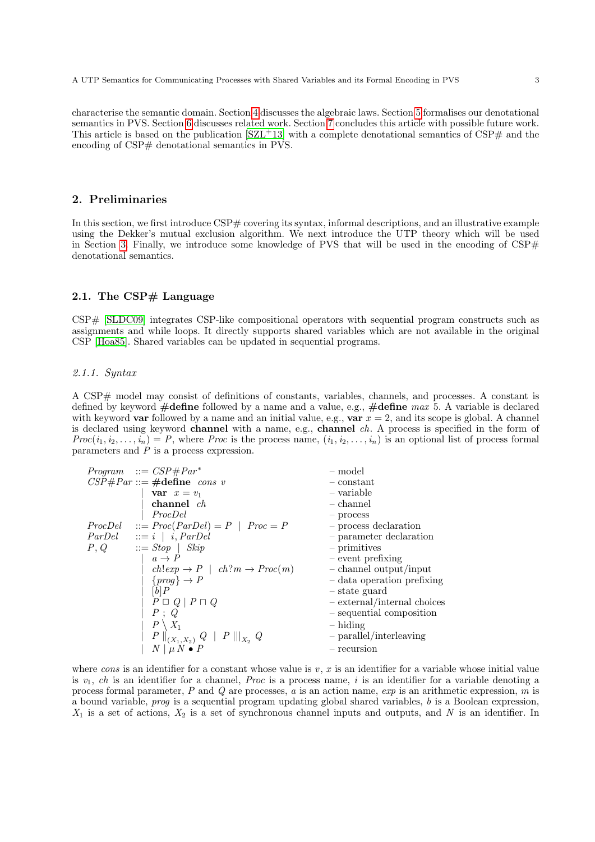characterise the semantic domain. Section [4](#page-14-0) discusses the algebraic laws. Section [5](#page-15-0) formalises our denotational semantics in PVS. Section [6](#page-26-0) discusses related work. Section [7](#page-27-0) concludes this article with possible future work. This article is based on the publication  $[SZL+13]$  $[SZL+13]$  with a complete denotational semantics of CSP# and the encoding of CSP# denotational semantics in PVS.

# <span id="page-2-0"></span>2. Preliminaries

In this section, we first introduce  $CSP\#$  covering its syntax, informal descriptions, and an illustrative example using the Dekker's mutual exclusion algorithm. We next introduce the UTP theory which will be used in Section [3.](#page-6-0) Finally, we introduce some knowledge of PVS that will be used in the encoding of  $CSP#$ denotational semantics.

# <span id="page-2-2"></span>2.1. The  $CSP#$  Language

CSP# [\[SLDC09\]](#page-29-6) integrates CSP-like compositional operators with sequential program constructs such as assignments and while loops. It directly supports shared variables which are not available in the original CSP [\[Hoa85\]](#page-28-0). Shared variables can be updated in sequential programs.

#### <span id="page-2-1"></span>2.1.1. Syntax

A CSP# model may consist of definitions of constants, variables, channels, and processes. A constant is defined by keyword  $\#$ define followed by a name and a value, e.g.,  $\#$ define max 5. A variable is declared with keyword **var** followed by a name and an initial value, e.g., **var**  $x = 2$ , and its scope is global. A channel is declared using keyword channel with a name, e.g., channel ch. A process is specified in the form of  $Proc(i_1, i_2, \ldots, i_n) = P$ , where Proc is the process name,  $(i_1, i_2, \ldots, i_n)$  is an optional list of process formal parameters and  $\ddot{P}$  is a process expression.

| $Program ::= CSP#Par^*$                                    | - model                     |
|------------------------------------------------------------|-----------------------------|
| $CSP\#Par ::= \#define \ cons \ v$                         | $-$ constant                |
| var $x = v_1$                                              | - variable                  |
| $channel$ $ch$                                             | $-$ channel                 |
| ProcDel                                                    | $-$ process                 |
| $Proofel$ ::= $Proc(ParDel) = P   Proc = P$                | - process declaration       |
| $ParDel \t ::= i \mid i, ParDel$                           | - parameter declaration     |
| $P, Q \qquad ::= Stop \mid Skip$                           | $-$ primitives              |
| $a \rightarrow P$                                          | - event prefixing           |
| $ch!exp \rightarrow P \mid ch?m \rightarrow Proc(m)$       | $-$ channel output/input    |
| $\{prog\} \rightarrow P$                                   | - data operation prefixing  |
| [b]P                                                       | $-$ state guard             |
| $P \square Q   P \square Q$                                | - external/internal choices |
| P:Q                                                        | - sequential composition    |
| P<br>$\setminus X_1$                                       | $-$ hiding                  |
| $P \parallel_{(X_1, X_2)} Q \parallel P \parallel_{X_2} Q$ | $-$ parallel/interleaving   |
| $N \mid \mu N \bullet P$                                   | - recursion                 |

where cons is an identifier for a constant whose value is  $v, x$  is an identifier for a variable whose initial value is  $v_1$ , ch is an identifier for a channel, *Proc* is a process name, i is an identifier for a variable denoting a process formal parameter,  $P$  and  $Q$  are processes,  $a$  is an action name,  $exp$  is an arithmetic expression,  $m$  is a bound variable, prog is a sequential program updating global shared variables, b is a Boolean expression,  $X_1$  is a set of actions,  $X_2$  is a set of synchronous channel inputs and outputs, and N is an identifier. In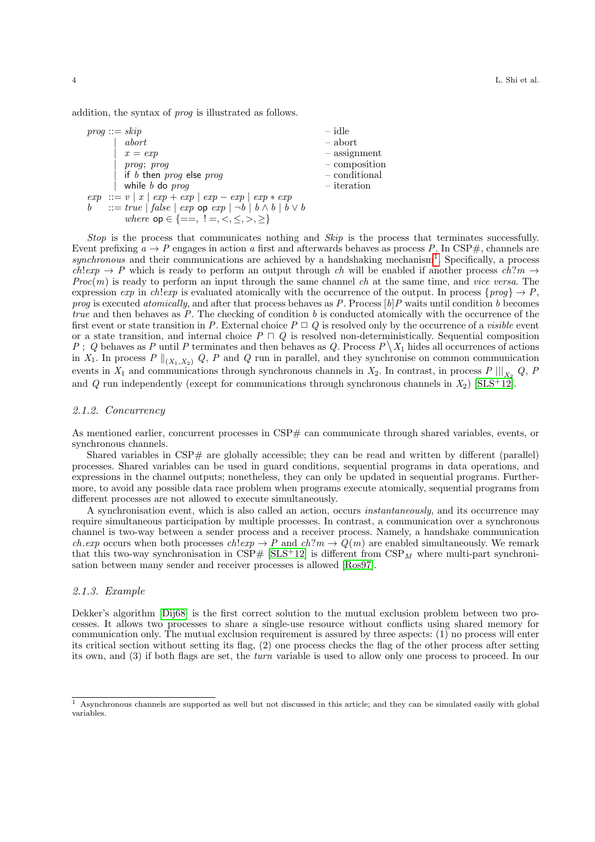addition, the syntax of prog is illustrated as follows.

|                  | $prog ::= skip$                                                   | $-$ idle        |
|------------------|-------------------------------------------------------------------|-----------------|
|                  | abort                                                             | - abort         |
|                  | $x = exp$                                                         | $-$ assignment  |
|                  | prog; prog                                                        | - composition   |
|                  | if $b$ then $prog$ else $prog$                                    | $-$ conditional |
|                  | while $b$ do $prog$                                               | $-$ iteration   |
|                  | $exp := v   x   exp + exp   exp - exp   exp * exp$                |                 |
| $\boldsymbol{b}$ | $ ::= true   false   exp op exp   \neg b   b \wedge b   b \vee b$ |                 |
|                  | where $op \in \{ ==, \, ! =, <, \leq, >, \geq \}$                 |                 |
|                  |                                                                   |                 |

Stop is the process that communicates nothing and Skip is the process that terminates successfully. Event prefixing  $a \to P$  engages in action a first and afterwards behaves as process P. In CSP#, channels are  $synchronous$  and their communications are achieved by a handshaking mechanism<sup>[1](#page-3-0)</sup>. Specifically, a process  $ch!exp \rightarrow P$  which is ready to perform an output through ch will be enabled if another process  $ch?m \rightarrow$  $Proc(m)$  is ready to perform an input through the same channel ch at the same time, and vice versa. The expression  $exp$  in ch!exp is evaluated atomically with the occurrence of the output. In process {prog}  $\rightarrow P$ , *prog* is executed *atomically*, and after that process behaves as  $P$ . Process  $[b]P$  waits until condition  $b$  becomes true and then behaves as  $\tilde{P}$ . The checking of condition b is conducted atomically with the occurrence of the first event or state transition in P. External choice  $P \square Q$  is resolved only by the occurrence of a *visible* event or a state transition, and internal choice  $P \cap Q$  is resolved non-deterministically. Sequential composition P ; Q behaves as P until P terminates and then behaves as Q. Process  $P \setminus X_1$  hides all occurrences of actions in  $X_1$ . In process  $P \parallel_{(X_1,X_2)} Q$ , P and Q run in parallel, and they synchronise on common communication events in  $X_1$  and communications through synchronous channels in  $X_2$ . In contrast, in process  $P\|_{X_2} Q$ ,  $P$ and Q run independently (except for communications through synchronous channels in  $X_2$ ) [\[SLS](#page-29-9)<sup>+</sup>12].

# 2.1.2. Concurrency

As mentioned earlier, concurrent processes in CSP# can communicate through shared variables, events, or synchronous channels.

Shared variables in  $CSP#$  are globally accessible; they can be read and written by different (parallel) processes. Shared variables can be used in guard conditions, sequential programs in data operations, and expressions in the channel outputs; nonetheless, they can only be updated in sequential programs. Furthermore, to avoid any possible data race problem when programs execute atomically, sequential programs from different processes are not allowed to execute simultaneously.

A synchronisation event, which is also called an action, occurs instantaneously, and its occurrence may require simultaneous participation by multiple processes. In contrast, a communication over a synchronous channel is two-way between a sender process and a receiver process. Namely, a handshake communication ch.exp occurs when both processes ch!exp  $\rightarrow P$  and ch?m  $\rightarrow Q(m)$  are enabled simultaneously. We remark that this two-way synchronisation in  $\text{CSP}_{\#}$  [\[SLS](#page-29-9)+12] is different from  $\text{CSP}_M$  where multi-part synchronisation between many sender and receiver processes is allowed [\[Ros97\]](#page-29-10).

#### 2.1.3. Example

Dekker's algorithm [\[Dij68\]](#page-28-13) is the first correct solution to the mutual exclusion problem between two processes. It allows two processes to share a single-use resource without conflicts using shared memory for communication only. The mutual exclusion requirement is assured by three aspects: (1) no process will enter its critical section without setting its flag, (2) one process checks the flag of the other process after setting its own, and (3) if both flags are set, the turn variable is used to allow only one process to proceed. In our

<span id="page-3-0"></span> $1$  Asynchronous channels are supported as well but not discussed in this article; and they can be simulated easily with global variables.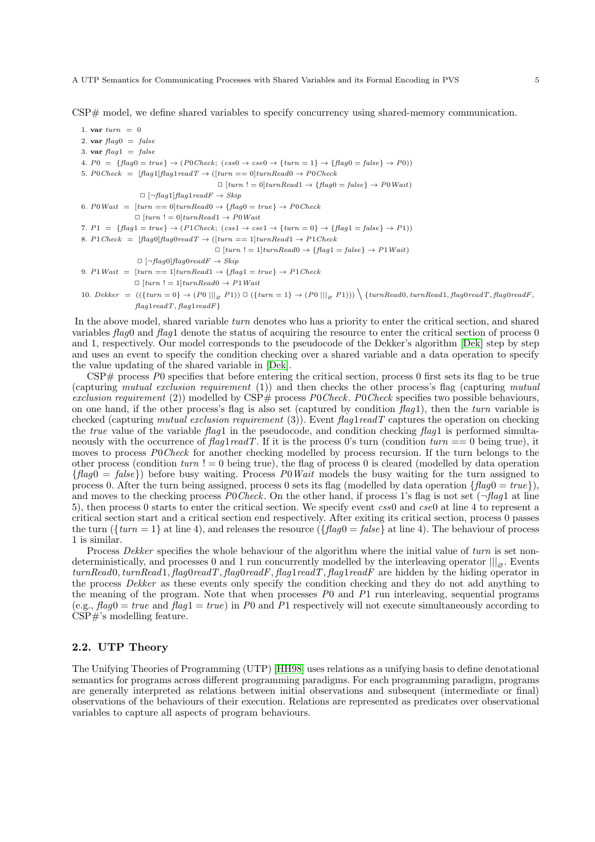CSP# model, we define shared variables to specify concurrency using shared-memory communication.

1. var  $turn = 0$ 2. var  $flag0 = false$ 3. var  $flag1 = false$ 4.  $P0 = \{flag0 = true\} \rightarrow (POCheck; (css0 \rightarrow cse0 \rightarrow {turn = 1} \rightarrow {flag0 = false} \rightarrow P0))$ 5.  $POCheck = [flag1] flag1 read T \rightarrow ([turn == 0] turn Read 0 \rightarrow POCheck$  $\Box$  [turn ! = 0]turnRead1  $\rightarrow$  {flag0 = false}  $\rightarrow$  P0Wait)  $\Box$  [¬flag1]flag1readF  $\rightarrow$  Skip 6. P0Wait =  $[turn == 0] \text{turnRead0} \rightarrow \{flag0 = true\} \rightarrow POCheck$  $\Box$  [turn ! = 0]turnRead1  $\rightarrow$  P0Wait 7.  $P1 = \{flag1 = true\} \rightarrow (PlCheck; (css1 \rightarrow cse1 \rightarrow \{turn = 0\} \rightarrow \{flag1 = false\} \rightarrow P1))$ 8. P1Check =  $[flag0]$ flag0read $T \rightarrow ([turn == 1]$ turnRead1  $\rightarrow$  P1Check  $\Box$  [turn ! = 1]turnRead0  $\rightarrow$  {flag1 = false}  $\rightarrow$  P1Wait)  $\Box$  [¬flag0]flag0readF  $\rightarrow$  Skip 9. P1Wait =  $[turn == 1] turnRead1 \rightarrow {flag1 = true} \rightarrow P1Check$  $\Box$  [turn ! = 1]turnRead0  $\rightarrow$  P1Wait <sup>10</sup>. Dekker = (({turn = 0} → (P<sup>0</sup> |||<sup>∅</sup> <sup>P</sup>1)) ✷ ({turn = 1} → (P<sup>0</sup> |||<sup>∅</sup> <sup>P</sup>1))) \ {turnRead0,turnRead1, flag0readT, flag0readF,  $flag1readT, flag1readF$ 

In the above model, shared variable turn denotes who has a priority to enter the critical section, and shared variables flag0 and flag1 denote the status of acquiring the resource to enter the critical section of process 0 and 1, respectively. Our model corresponds to the pseudocode of the Dekker's algorithm [\[Dek\]](#page-28-14) step by step and uses an event to specify the condition checking over a shared variable and a data operation to specify the value updating of the shared variable in [\[Dek\]](#page-28-14).

 $CSP#$  process P0 specifies that before entering the critical section, process 0 first sets its flag to be true (capturing mutual exclusion requirement (1)) and then checks the other process's flag (capturing mutual exclusion requirement (2)) modelled by CSP# process  $P0Check$ . P0Check specifies two possible behaviours, on one hand, if the other process's flag is also set (captured by condition flag1), then the turn variable is checked (capturing mutual exclusion requirement (3)). Event  $flag1readT$  captures the operation on checking the true value of the variable flag1 in the pseudocode, and condition checking flag1 is performed simultaneously with the occurrence of  $flag1readT$ . If it is the process 0's turn (condition  $turn == 0$  being true), it moves to process P0Check for another checking modelled by process recursion. If the turn belongs to the other process (condition  $turn != 0$  being true), the flag of process 0 is cleared (modelled by data operation  ${flag0 = false}$  before busy waiting. Process P0Wait models the busy waiting for the turn assigned to process 0. After the turn being assigned, process 0 sets its flag (modelled by data operation  $\{flag0 = true\}$ ), and moves to the checking process  $P0Check$ . On the other hand, if process 1's flag is not set  $(\neg flag1$  at line 5), then process 0 starts to enter the critical section. We specify event css0 and cse0 at line 4 to represent a critical section start and a critical section end respectively. After exiting its critical section, process 0 passes the turn ( $\{turn = 1\}$  at line 4), and releases the resource ( $\{flag0 = false\}$  at line 4). The behaviour of process 1 is similar.

Process Dekker specifies the whole behaviour of the algorithm where the initial value of turn is set nondeterministically, and processes 0 and 1 run concurrently modelled by the interleaving operator  $\|\|_{\alpha}$ . Events turnRead0, turnRead1, flag0readT, flag0readF, flag1readT, flag1readF are hidden by the hiding operator in the process Dekker as these events only specify the condition checking and they do not add anything to the meaning of the program. Note that when processes P0 and P1 run interleaving, sequential programs (e.g.,  $flag0 = true$  and  $flag1 = true$ ) in P0 and P1 respectively will not execute simultaneously according to CSP#'s modelling feature.

# 2.2. UTP Theory

The Unifying Theories of Programming (UTP) [\[HH98\]](#page-28-7) uses relations as a unifying basis to define denotational semantics for programs across different programming paradigms. For each programming paradigm, programs are generally interpreted as relations between initial observations and subsequent (intermediate or final) observations of the behaviours of their execution. Relations are represented as predicates over observational variables to capture all aspects of program behaviours.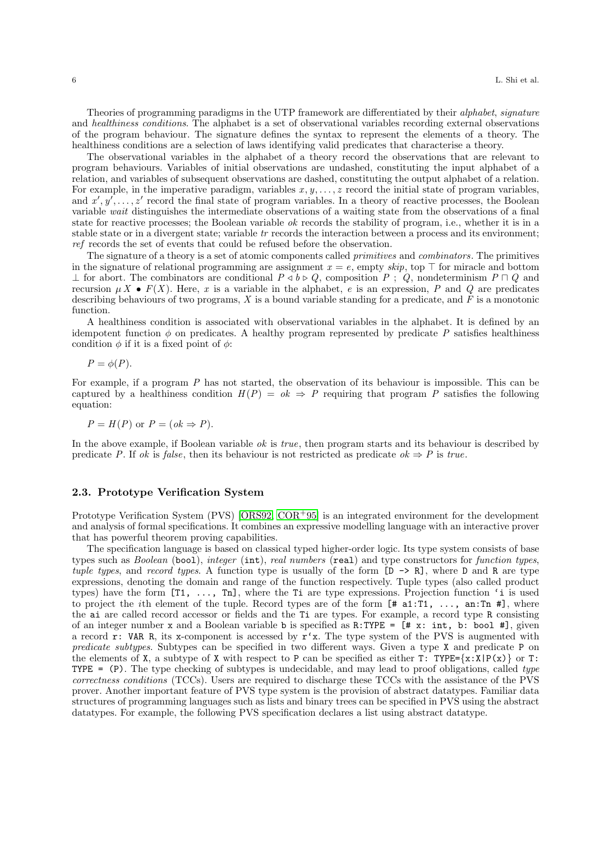Theories of programming paradigms in the UTP framework are differentiated by their alphabet, signature and healthiness conditions. The alphabet is a set of observational variables recording external observations of the program behaviour. The signature defines the syntax to represent the elements of a theory. The healthiness conditions are a selection of laws identifying valid predicates that characterise a theory.

The observational variables in the alphabet of a theory record the observations that are relevant to program behaviours. Variables of initial observations are undashed, constituting the input alphabet of a relation, and variables of subsequent observations are dashed, constituting the output alphabet of a relation. For example, in the imperative paradigm, variables  $x, y, \ldots, z$  record the initial state of program variables, and  $x', y', \ldots, z'$  record the final state of program variables. In a theory of reactive processes, the Boolean variable wait distinguishes the intermediate observations of a waiting state from the observations of a final state for reactive processes; the Boolean variable  $ok$  records the stability of program, i.e., whether it is in a stable state or in a divergent state; variable tr records the interaction between a process and its environment; ref records the set of events that could be refused before the observation.

The signature of a theory is a set of atomic components called *primitives* and *combinators*. The primitives in the signature of relational programming are assignment  $x = e$ , empty skip, top  $\top$  for miracle and bottom  $\perp$  for abort. The combinators are conditional  $P \triangleleft b \triangleright Q$ , composition P; Q, nondeterminism  $P \sqcap Q$  and recursion  $\mu X \bullet F(X)$ . Here, x is a variable in the alphabet, e is an expression, P and Q are predicates describing behaviours of two programs,  $X$  is a bound variable standing for a predicate, and  $F$  is a monotonic function.

A healthiness condition is associated with observational variables in the alphabet. It is defined by an idempotent function  $\phi$  on predicates. A healthy program represented by predicate P satisfies healthiness condition  $\phi$  if it is a fixed point of  $\phi$ :

$$
P = \phi(P).
$$

For example, if a program P has not started, the observation of its behaviour is impossible. This can be captured by a healthiness condition  $H(P) = ok \Rightarrow P$  requiring that program P satisfies the following equation:

$$
P = H(P)
$$
 or  $P = (ok \Rightarrow P)$ .

In the above example, if Boolean variable  $ok$  is *true*, then program starts and its behaviour is described by predicate P. If ok is false, then its behaviour is not restricted as predicate ok  $\Rightarrow$  P is true.

#### 2.3. Prototype Verification System

Prototype Verification System (PVS) [\[ORS92,](#page-28-9) [COR](#page-28-15)<sup>+95]</sup> is an integrated environment for the development and analysis of formal specifications. It combines an expressive modelling language with an interactive prover that has powerful theorem proving capabilities.

The specification language is based on classical typed higher-order logic. Its type system consists of base types such as *Boolean* (bool), integer (int), real numbers (real) and type constructors for function types, tuple types, and record types. A function type is usually of the form  $[D \rightarrow R]$ , where D and R are type expressions, denoting the domain and range of the function respectively. Tuple types (also called product types) have the form [T1, ..., Tn], where the Ti are type expressions. Projection function 'i is used to project the *i*th element of the tuple. Record types are of the form  $[# a1: T1, \ldots, an: Tn #],$  where the ai are called record accessor or fields and the Ti are types. For example, a record type R consisting of an integer number x and a Boolean variable b is specified as  $R: TYPE = [\# x: int, b: bool #]$ , given a record  $\mathbf{r}$ : VAR R, its x-component is accessed by  $\mathbf{r}^t$  x. The type system of the PVS is augmented with predicate subtypes. Subtypes can be specified in two different ways. Given a type X and predicate P on the elements of X, a subtype of X with respect to P can be specified as either T: TYPE= $\{x: X|P(x)\}$  or T: TYPE = (P). The type checking of subtypes is undecidable, and may lead to proof obligations, called type correctness conditions (TCCs). Users are required to discharge these TCCs with the assistance of the PVS prover. Another important feature of PVS type system is the provision of abstract datatypes. Familiar data structures of programming languages such as lists and binary trees can be specified in PVS using the abstract datatypes. For example, the following PVS specification declares a list using abstract datatype.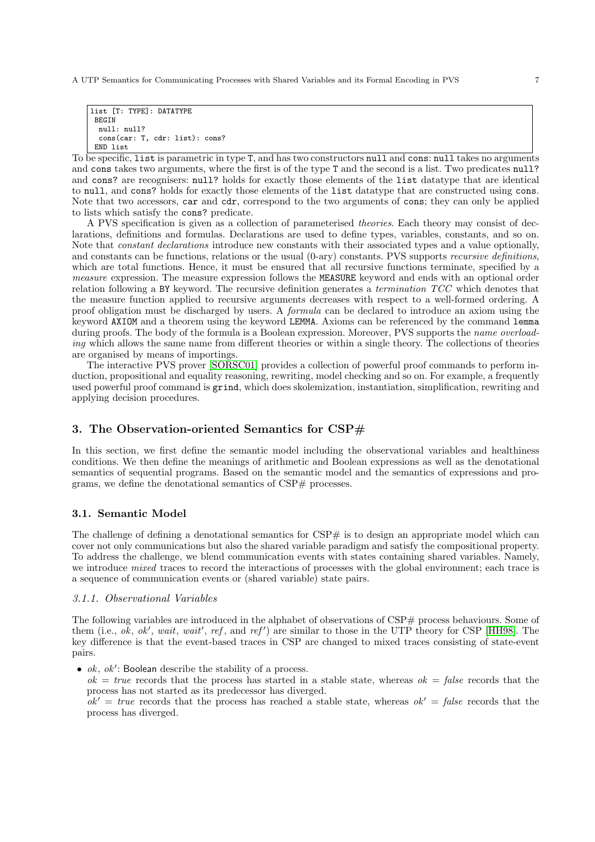|              |          | list [T: TYPE]: DATATYPE |                                |  |
|--------------|----------|--------------------------|--------------------------------|--|
| <b>BEGIN</b> |          |                          |                                |  |
|              |          | min1:min12               |                                |  |
|              |          |                          | cons(car: T, cdr: list): cons? |  |
|              | END list |                          |                                |  |

To be specific, list is parametric in type T, and has two constructors null and cons: null takes no arguments and cons takes two arguments, where the first is of the type T and the second is a list. Two predicates null? and cons? are recognisers: null? holds for exactly those elements of the list datatype that are identical to null, and cons? holds for exactly those elements of the list datatype that are constructed using cons. Note that two accessors, car and cdr, correspond to the two arguments of cons; they can only be applied to lists which satisfy the cons? predicate.

A PVS specification is given as a collection of parameterised theories. Each theory may consist of declarations, definitions and formulas. Declarations are used to define types, variables, constants, and so on. Note that *constant declarations* introduce new constants with their associated types and a value optionally, and constants can be functions, relations or the usual (0-ary) constants. PVS supports recursive definitions, which are total functions. Hence, it must be ensured that all recursive functions terminate, specified by a measure expression. The measure expression follows the MEASURE keyword and ends with an optional order relation following a BY keyword. The recursive definition generates a termination TCC which denotes that the measure function applied to recursive arguments decreases with respect to a well-formed ordering. A proof obligation must be discharged by users. A formula can be declared to introduce an axiom using the keyword AXIOM and a theorem using the keyword LEMMA. Axioms can be referenced by the command lemma during proofs. The body of the formula is a Boolean expression. Moreover, PVS supports the *name overload*ing which allows the same name from different theories or within a single theory. The collections of theories are organised by means of importings.

The interactive PVS prover [\[SORSC01\]](#page-29-11) provides a collection of powerful proof commands to perform induction, propositional and equality reasoning, rewriting, model checking and so on. For example, a frequently used powerful proof command is grind, which does skolemization, instantiation, simplification, rewriting and applying decision procedures.

# <span id="page-6-0"></span>3. The Observation-oriented Semantics for  $CSP#$

In this section, we first define the semantic model including the observational variables and healthiness conditions. We then define the meanings of arithmetic and Boolean expressions as well as the denotational semantics of sequential programs. Based on the semantic model and the semantics of expressions and programs, we define the denotational semantics of  $CSP#$  processes.

# 3.1. Semantic Model

The challenge of defining a denotational semantics for  $CSP#$  is to design an appropriate model which can cover not only communications but also the shared variable paradigm and satisfy the compositional property. To address the challenge, we blend communication events with states containing shared variables. Namely, we introduce mixed traces to record the interactions of processes with the global environment; each trace is a sequence of communication events or (shared variable) state pairs.

# <span id="page-6-1"></span>3.1.1. Observational Variables

The following variables are introduced in the alphabet of observations of CSP# process behaviours. Some of them (i.e.,  $\overline{ok}$ ,  $\overline{ok}'$ , wait, wait', ref, and ref') are similar to those in the UTP theory for CSP [\[HH98\]](#page-28-7). The key difference is that the event-based traces in CSP are changed to mixed traces consisting of state-event pairs.

 $\bullet$  ok, ok': Boolean describe the stability of a process.  $ok = true$  records that the process has started in a stable state, whereas  $ok = false$  records that the process has not started as its predecessor has diverged.  $ok' = true$  records that the process has reached a stable state, whereas  $ok' = false$  records that the process has diverged.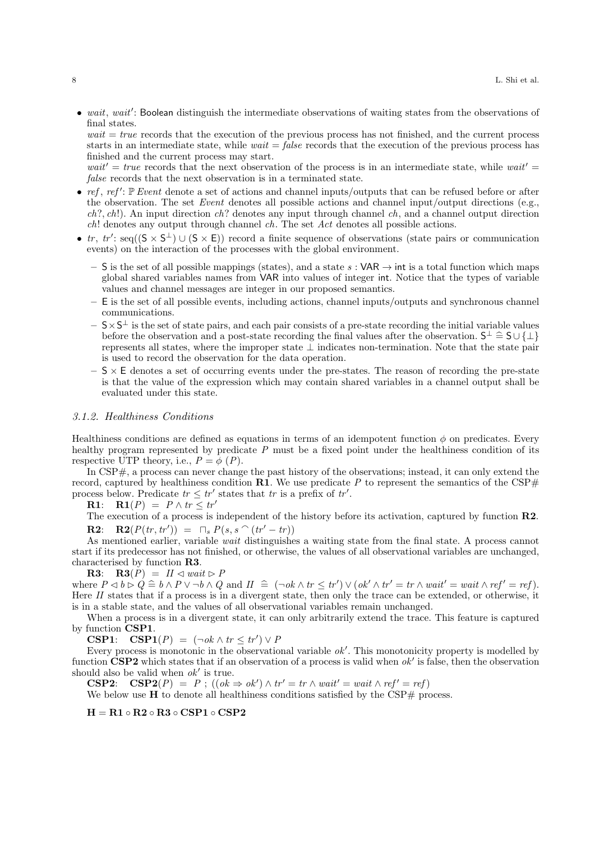• wait, wait': Boolean distinguish the intermediate observations of waiting states from the observations of final states.

 $wait = true$  records that the execution of the previous process has not finished, and the current process starts in an intermediate state, while  $wait = false$  records that the execution of the previous process has finished and the current process may start.

wait<sup> $t'$ </sup> = true records that the next observation of the process is in an intermediate state, while wait<sup> $t'$ </sup> false records that the next observation is in a terminated state.

- ref, ref':  $\mathbb P$  Event denote a set of actions and channel inputs/outputs that can be refused before or after the observation. The set Event denotes all possible actions and channel input/output directions (e.g.,  $ch?, ch!)$ . An input direction  $ch?$  denotes any input through channel  $ch$ , and a channel output direction ch! denotes any output through channel ch. The set Act denotes all possible actions.
- $tr, tr': \text{seq}((S \times S^{\perp}) \cup (S \times E))$  record a finite sequence of observations (state pairs or communication events) on the interaction of the processes with the global environment.
	- S is the set of all possible mappings (states), and a state  $s : VAR \rightarrow int$  is a total function which maps global shared variables names from VAR into values of integer int. Notice that the types of variable values and channel messages are integer in our proposed semantics.
	- E is the set of all possible events, including actions, channel inputs/outputs and synchronous channel communications.
	- $S \times S^{\perp}$  is the set of state pairs, and each pair consists of a pre-state recording the initial variable values before the observation and a post-state recording the final values after the observation.  $S^{\perp} \cong S \cup \{\perp\}$ <br>represents all states, where the improper state  $\perp$  indicates pop-termination. Note that the state pair represents all states, where the improper state ⊥ indicates non-termination. Note that the state pair is used to record the observation for the data operation.
	- $-$  S  $\times$  E denotes a set of occurring events under the pre-states. The reason of recording the pre-state is that the value of the expression which may contain shared variables in a channel output shall be evaluated under this state.

#### 3.1.2. Healthiness Conditions

Healthiness conditions are defined as equations in terms of an idempotent function  $\phi$  on predicates. Every healthy program represented by predicate P must be a fixed point under the healthiness condition of its respective UTP theory, i.e.,  $P = \phi(P)$ .

In CSP#, a process can never change the past history of the observations; instead, it can only extend the record, captured by healthiness condition R1. We use predicate P to represent the semantics of the CSP# process below. Predicate  $tr \leq tr'$  states that tr is a prefix of tr'.

R1:  $\mathbf{R1}(P) = P \wedge tr \leq tr'$ 

The execution of a process is independent of the history before its activation, captured by function R2. **R2:**  $\mathbf{R2}(P(tr, tr')) = \bigcap_{s} P(s, s \cap (tr' - tr))$ 

As mentioned earlier, variable wait distinguishes a waiting state from the final state. A process cannot start if its predecessor has not finished, or otherwise, the values of all observational variables are unchanged, characterised by function R3.

**R3:**  $R3(P) = II \triangleleft wait \triangleright P$ 

where  $P \triangleleft b \geq \hat{Q} \cong b \wedge P \vee \neg b \wedge Q$  and  $H \cong (\neg ok \wedge tr \leq tr') \vee (ok' \wedge tr' = tr \wedge wait' = wait \wedge ref' = ref)$ .<br>Here H states that if a process is in a divergent state, then only the trace can be extended or otherwise, it Here II states that if a process is in a divergent state, then only the trace can be extended, or otherwise, it is in a stable state, and the values of all observational variables remain unchanged.

When a process is in a divergent state, it can only arbitrarily extend the trace. This feature is captured by function CSP1.

CSP1:  $CSP1(P) = (\neg \text{ok} \land \text{tr} \leq \text{tr}') \lor P$ 

Every process is monotonic in the observational variable  $ok'$ . This monotonicity property is modelled by function  $\text{CSP2}$  which states that if an observation of a process is valid when  $ok'$  is false, then the observation should also be valid when  $ok'$  is true.

**CSP2: CSP2** $(P) = P$ ;  $((ok \Rightarrow ok') \land tr' = tr \land wait' = wait \land ref' = ref)$ 

We below use  $H$  to denote all healthiness conditions satisfied by the CSP $#$  process.

 $H = R1 \circ R2 \circ R3 \circ CSP1 \circ CSP2$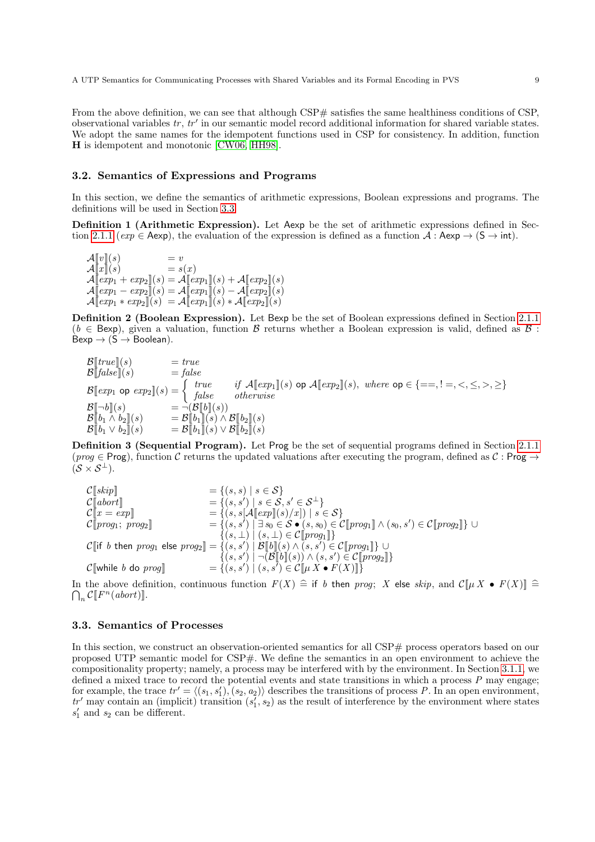From the above definition, we can see that although  $CSP\#$  satisfies the same healthiness conditions of CSP, observational variables  $tr$ ,  $tr'$  in our semantic model record additional information for shared variable states. We adopt the same names for the idempotent functions used in CSP for consistency. In addition, function H is idempotent and monotonic [\[CW06,](#page-28-16) [HH98\]](#page-28-7).

#### 3.2. Semantics of Expressions and Programs

In this section, we define the semantics of arithmetic expressions, Boolean expressions and programs. The definitions will be used in Section [3.3.](#page-8-0)

Definition 1 (Arithmetic Expression). Let Aexp be the set of arithmetic expressions defined in Sec-tion [2.1.1](#page-2-1) ( $exp \in$  Aexp), the evaluation of the expression is defined as a function A : Aexp  $\rightarrow$  (S  $\rightarrow$  int).

<span id="page-8-1"></span> $\mathcal{A}[[v]](s)$  $\mathcal{A}[[x]](s) = s(x)$  $\mathcal{A} \llbracket exp_1 + exp_2 \rrbracket(s) = \mathcal{A} \llbracket exp_1 \rrbracket(s) + \mathcal{A} \llbracket exp_2 \rrbracket(s)$  $\mathcal{A}$ [[exp<sub>1</sub> – exp<sub>2</sub>]](s) =  $\mathcal{A}$ [[exp<sub>1</sub>]](s) –  $\mathcal{A}$ [[exp<sub>2</sub>]](s)  $\mathcal{A}$ [[exp<sub>1</sub> \* exp<sub>2</sub>]](s) =  $\mathcal{A}$ [[exp<sub>1</sub>]](s) \*  $\mathcal{A}$ [[exp<sub>2</sub>]](s)

<span id="page-8-3"></span>Definition 2 (Boolean Expression). Let Bexp be the set of Boolean expressions defined in Section [2.1.1](#page-2-1)  $(b \in \text{Bexp})$ , given a valuation, function B returns whether a Boolean expression is valid, defined as B:  $Bexp \rightarrow (S \rightarrow Boolean).$ 

 $\mathcal{B}[[true](s) = true$  $\mathcal{B}[[false](s) = false$  $\mathcal{B}[\![exp_1 \text{ op } exp_2]\!](s) = \begin{cases} \text{ true } & \text{ if } \mathcal{A}[\![exp_1]\!](s) \text{ op } \mathcal{A}[\![exp_2]\!](s), \text{ where } \text{ op } \in \{ ==, !=, <, \le, >, \ge \} \end{cases}$ false otherwise  $\mathcal{B}[\neg b](s) = \neg(\mathcal{B}[[b]](s))$  $\mathcal{B}[\![b_1\wedge b_2]\!](s) \qquad \quad \ = \mathcal{B}[\![b_1]\!](s) \wedge \mathcal{B}[\![b_2]\!](s)$  $\mathcal{B}[\![b_1\vee b_2]\!](s) \qquad \quad \quad = \mathcal{B}[\![b_1]\!](s) \vee \mathcal{B}[\![b_2]\!](s)$ 

<span id="page-8-2"></span>Definition 3 (Sequential Program). Let Prog be the set of sequential programs defined in Section [2.1.1](#page-2-1)  $(p\,reg \in Prop)$ , function C returns the updated valuations after executing the program, defined as C : Prog  $\rightarrow$  $(S \times S^{\perp}).$ 

$$
C[[skip]] = \{(s, s) \mid s \in S\}
$$
  
\n
$$
C[[abort]] = \{(s, s') \mid s \in S, s' \in S^{\perp}\}
$$
  
\n
$$
C[[r \cup s'] = \{(s, s') \mid \exists s_0 \in S \bullet (s, s_0) \in C[[prog_1] \land (s_0, s') \in C[[prog_2]]\} \cup \{(s, \perp) \mid s \in S\}
$$
  
\n
$$
C[[if b then prog_1 else prog_2]] = \{(s, s') \mid B[b](s) \land (s, s') \in C[[prog_1]]\} \cup \{(s, s') \mid \neg(B[b](s)) \land (s, s') \in C[[prog_2]]\}
$$
  
\n
$$
C[[while b do prog]] = \{(s, s') \mid (\neg(B[b](s)) \land (s, s') \in C[[prog_2]]\}
$$
  
\n
$$
= \{(s, s') \mid (s, s') \in C[[\mu X \bullet F(X)]]\}
$$

In the above definition, continuous function  $F(X) \triangleq$  if b then prog; X else skip, and  $\mathcal{C}[\![\mu X \bullet F(X)]\!] \triangleq$  $\bigcap_n \mathcal{C}[F^n(abort)].$ 

### <span id="page-8-0"></span>3.3. Semantics of Processes

In this section, we construct an observation-oriented semantics for all CSP# process operators based on our proposed UTP semantic model for CSP#. We define the semantics in an open environment to achieve the compositionality property; namely, a process may be interfered with by the environment. In Section [3.1.1,](#page-6-1) we defined a mixed trace to record the potential events and state transitions in which a process  $P$  may engage; for example, the trace  $tr' = \langle (s_1, s'_1), (s_2, a_2) \rangle$  describes the transitions of process P. In an open environment,  $tr'$  may contain an (implicit) transition  $(s'_1, s_2)$  as the result of interference by the environment where states  $s'_1$  and  $s_2$  can be different.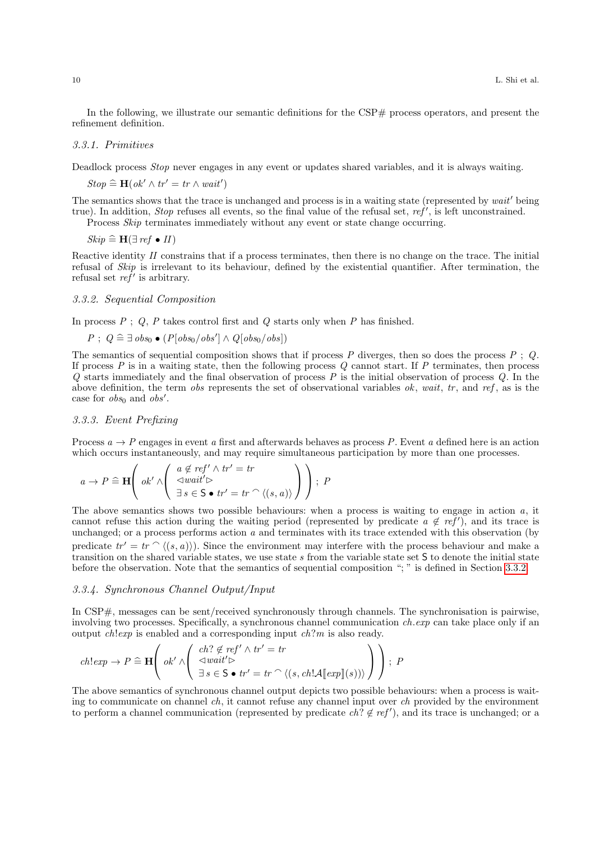In the following, we illustrate our semantic definitions for the  $\text{CSP#}$  process operators, and present the refinement definition.

#### 3.3.1. Primitives

Deadlock process Stop never engages in any event or updates shared variables, and it is always waiting.

 $Stop \cong \mathbf{H}(ok' \wedge tr' = tr \wedge wait')$ 

The semantics shows that the trace is unchanged and process is in a waiting state (represented by  $wait'$  being true). In addition, *Stop* refuses all events, so the final value of the refusal set,  $ref'$ , is left unconstrained.

Process *Skip* terminates immediately without any event or state change occurring.

 $Skip \triangleq H(\exists \text{ ref} \bullet H)$ 

Reactive identity II constrains that if a process terminates, then there is no change on the trace. The initial refusal of Skip is irrelevant to its behaviour, defined by the existential quantifier. After termination, the refusal set  $ref'$  is arbitrary.

## <span id="page-9-0"></span>3.3.2. Sequential Composition

In process  $P$ ;  $Q$ ,  $P$  takes control first and  $Q$  starts only when  $P$  has finished.

$$
P \; ; \; Q \cong \exists \; obs_0 \bullet (P[obs_0/obs'] \land Q[obs_0/obs])
$$

The semantics of sequential composition shows that if process  $P$  diverges, then so does the process  $P$ ;  $Q$ . If process  $P$  is in a waiting state, then the following process  $Q$  cannot start. If  $P$  terminates, then process  $Q$  starts immediately and the final observation of process  $P$  is the initial observation of process  $Q$ . In the above definition, the term *obs* represents the set of observational variables *ok*, wait, tr, and ref, as is the case for  $obs_0$  and  $obs'$ .

# 3.3.3. Event Prefixing

Process  $a \to P$  engages in event a first and afterwards behaves as process P. Event a defined here is an action which occurs instantaneously, and may require simultaneous participation by more than one processes.

$$
a \to P \stackrel{\frown}{=} \mathbf{H}\left(\begin{array}{c} a \notin \mathit{ref'} \land \mathit{tr'} = \mathit{tr} \\ \lhd \mathit{wait'} \rhd \\ \exists \, s \in \mathsf{S} \bullet \mathit{tr'} = \mathit{tr} \land (\langle s, a \rangle \rangle \end{array}\right)\right); \; P
$$

The above semantics shows two possible behaviours: when a process is waiting to engage in action  $a$ , it cannot refuse this action during the waiting period (represented by predicate  $a \notin ref'$ ), and its trace is unchanged; or a process performs action a and terminates with its trace extended with this observation (by predicate  $tr' = tr \,\Omega(s, a)$ . Since the environment may interfere with the process behaviour and make a transition on the shared variable states, we use state  $s$  from the variable state set S to denote the initial state before the observation. Note that the semantics of sequential composition "; " is defined in Section [3.3.2.](#page-9-0)

# 3.3.4. Synchronous Channel Output/Input

In CSP#, messages can be sent/received synchronously through channels. The synchronisation is pairwise, involving two processes. Specifically, a synchronous channel communication *ch.exp* can take place only if an output  $\text{ch}! \text{exp}$  is enabled and a corresponding input  $\text{ch}! \text{m}$  is also ready.

$$
ch!exp \to P \cong \mathbf{H}\left(\begin{array}{c} ch? \notin ref' \land tr' = tr \\ \text{d} \lor \land \left( \begin{array}{c} \text{d} \lor \text{d} \lor \text{d} \lor \text{d} \lor \text{d} \lor \text{d} \lor \text{d} \lor \text{d} \lor \text{d} \lor \text{d} \lor \text{d} \lor \text{d} \lor \text{d} \lor \text{d} \lor \text{d} \lor \text{d} \lor \text{d} \lor \text{d} \lor \text{d} \lor \text{d} \lor \text{d} \lor \text{d} \lor \text{d} \lor \text{d} \lor \text{d} \lor \text{d} \lor \text{d} \lor \text{d} \lor \text{d} \lor \text{d} \lor \text{d} \lor \text{d} \lor \text{d} \lor \text{d} \lor \text{d} \lor \text{d} \lor \text{d} \lor \text{d} \lor \text{d} \lor \text{d} \lor \text{d} \lor \text{d} \lor \text{d} \lor \text{d} \lor \text{d} \lor \text{d} \lor \text{d} \lor \text{d} \lor \text{d} \lor \text{d} \lor \text{d} \lor \text{d} \lor \text{d} \lor \text{d} \lor \text{d} \lor \text{d} \lor \text{d} \lor \text{d} \lor \text{d} \lor \text{d} \lor \text{d} \lor \text{d} \lor \text{d} \lor \text{d} \lor \text{d} \lor \text{d} \lor \text{d} \lor \text{d} \lor \text{d} \lor \text{d} \lor \text{d} \lor \text{d} \lor \text{d} \lor \text{d} \lor \text{d} \lor \text{d} \lor \text{d} \lor \text{d} \lor \text{d} \lor \text{d} \lor \text{d} \lor \text{d} \lor \text{d} \lor \text{d} \lor \text{d} \lor \text{d} \lor \text{d} \lor \text{d} \lor \text{d} \lor \text{d} \lor \text{d} \lor \text{d} \lor \text{d} \lor \text{d} \lor \text{d} \lor \text{d} \lor \text{d} \lor \text{d} \lor \text{d} \lor \text{d} \lor \text{d
$$

The above semantics of synchronous channel output depicts two possible behaviours: when a process is waiting to communicate on channel  $ch$ , it cannot refuse any channel input over  $ch$  provided by the environment to perform a channel communication (represented by predicate  $ch \bar{?} \notin ref'$ ), and its trace is unchanged; or a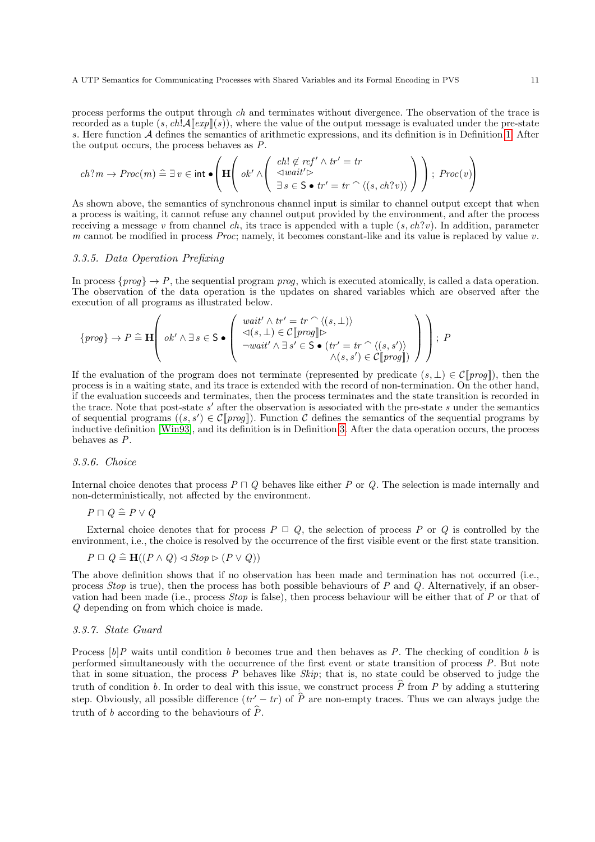process performs the output through ch and terminates without divergence. The observation of the trace is recorded as a tuple  $(s, ch.\mathcal{A}[\exp](s))$ , where the value of the output message is evaluated under the pre-state s. Here function A defines the semantics of arithmetic expressions, and its definition is in Definition [1.](#page-8-1) After the output occurs, the process behaves as P.

$$
ch?m \to \text{Proc}(m) \cong \exists v \in \text{int} \bullet \left( \mathbf{H} \left( \begin{array}{c} ch! \notin \text{ref'} \land \text{tr'} = \text{tr} \\ \text{4wait'} \triangleright \\ \exists s \in \mathbf{S} \bullet \text{tr'} = \text{tr} \end{array} \right) \setminus \text{Proc}(v) \right)
$$

As shown above, the semantics of synchronous channel input is similar to channel output except that when a process is waiting, it cannot refuse any channel output provided by the environment, and after the process receiving a message v from channel ch, its trace is appended with a tuple  $(s, ch?v)$ . In addition, parameter m cannot be modified in process *Proc*; namely, it becomes constant-like and its value is replaced by value v.

# 3.3.5. Data Operation Prefixing

In process  $\{prog\} \rightarrow P$ , the sequential program prog, which is executed atomically, is called a data operation. The observation of the data operation is the updates on shared variables which are observed after the execution of all programs as illustrated below.

$$
\{prog\} \rightarrow P \cong \mathbf{H} \left( ok' \land \exists s \in \mathbf{S} \bullet \left( \begin{array}{c} wait' \land tr' = tr \land \langle (s, \bot) \rangle \\ \lhd(s, \bot) \in C[\mathit{prog}]\rhd \\ \lnot wait' \land \exists s' \in \mathbf{S} \bullet (tr' = tr \land \langle (s, s') \rangle \\ \land (s, s') \in C[\mathit{prog}]\rhd \end{array} \right) \right); P
$$

If the evaluation of the program does not terminate (represented by predicate  $(s, \perp) \in \mathcal{C}[[prog]]$ ), then the process is in a waiting state, and its trace is extended with the record of non-termination. On the other hand, if the evaluation succeeds and terminates, then the process terminates and the state transition is recorded in the trace. Note that post-state  $s'$  after the observation is associated with the pre-state  $s$  under the semantics of sequential programs  $((s, s') \in \mathcal{C}[[prog]])$ . Function C defines the semantics of the sequential programs by inductive definition [\[Win93\]](#page-29-12), and its definition is in Definition [3.](#page-8-2) After the data operation occurs, the process behaves as P.

#### 3.3.6. Choice

Internal choice denotes that process  $P \sqcap Q$  behaves like either P or Q. The selection is made internally and non-deterministically, not affected by the environment.

$$
P \sqcap Q \mathrel{\widehat{=}} P \vee Q
$$

External choice denotes that for process  $P \square Q$ , the selection of process P or Q is controlled by the environment, i.e., the choice is resolved by the occurrence of the first visible event or the first state transition.

$$
P \sqcup Q \cong \mathbf{H}((P \land Q) \lhd \mathit{Stop} \triangleright (P \lor Q))
$$

The above definition shows that if no observation has been made and termination has not occurred (i.e., process Stop is true), then the process has both possible behaviours of P and Q. Alternatively, if an observation had been made (i.e., process  $Stop$  is false), then process behaviour will be either that of P or that of Q depending on from which choice is made.

# <span id="page-10-0"></span>3.3.7. State Guard

Process  $[b]$  waits until condition b becomes true and then behaves as P. The checking of condition b is performed simultaneously with the occurrence of the first event or state transition of process P. But note that in some situation, the process  $P$  behaves like  $Skip$ ; that is, no state could be observed to judge the truth of condition b. In order to deal with this issue, we construct process  $\hat{P}$  from P by adding a stuttering step. Obviously, all possible difference  $(tr' - tr)$  of  $\hat{P}$  are non-empty traces. Thus we can always judge the truth of b according to the behaviours of  $\hat{P}$ .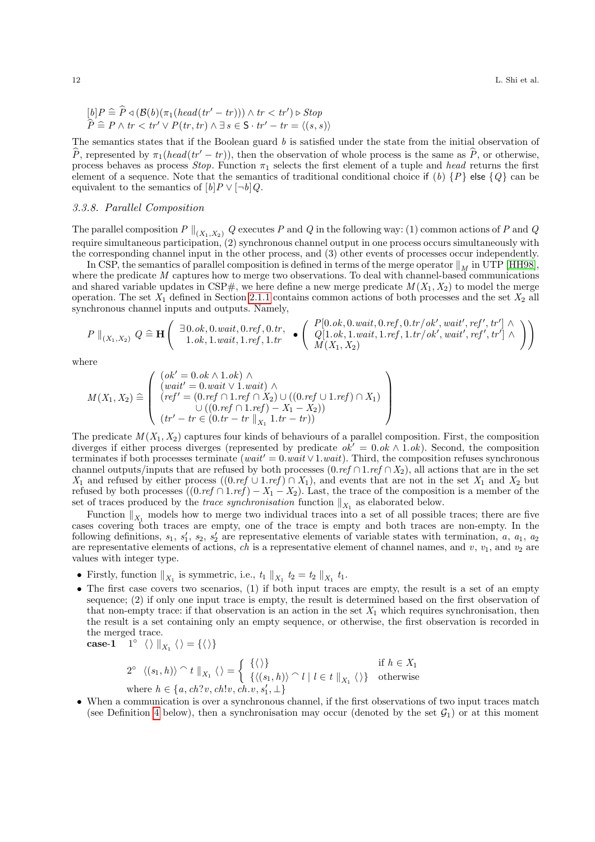12 L. Shi et al.

$$
[b]P \cong \widehat{P} \triangleleft (\mathcal{B}(b)(\pi_1(head(tr' - tr))) \wedge tr < tr') \triangleright Stop
$$
\n
$$
\widehat{P} \cong P \wedge tr < tr' \vee P(tr, tr) \wedge \exists s \in S \cdot tr' - tr = \langle (s, s) \rangle
$$

The semantics states that if the Boolean guard b is satisfied under the state from the initial observation of  $\hat{P}$ , represented by  $\pi_1(head(tr' - tr))$ , then the observation of whole process is the same as  $\hat{P}$ , or otherwise, process behaves as process *Stop*. Function  $\pi_1$  selects the first element of a tuple and head returns the first element of a sequence. Note that the semantics of traditional conditional choice if (b)  $\{P\}$  else  $\{Q\}$  can be equivalent to the semantics of  $[b]P \vee \neg b]Q$ .

# <span id="page-11-0"></span>3.3.8. Parallel Composition

The parallel composition  $P \parallel_{(X_1,X_2)} Q$  executes P and Q in the following way: (1) common actions of P and Q require simultaneous participation, (2) synchronous channel output in one process occurs simultaneously with the corresponding channel input in the other process, and (3) other events of processes occur independently.

In CSP, the semantics of parallel composition is defined in terms of the merge operator  $\parallel_M$  in UTP [\[HH98\]](#page-28-7), where the predicate M captures how to merge two observations. To deal with channel-based communications and shared variable updates in CSP#, we here define a new merge predicate  $M(X_1, X_2)$  to model the merge operation. The set  $X_1$  defined in Section [2.1.1](#page-2-1) contains common actions of both processes and the set  $X_2$  all synchronous channel inputs and outputs. Namely,

$$
P \parallel_{(X_1,X_2)} Q \cong \mathbf{H} \left( \begin{array}{cc} \exists\, 0. ok, 0. wait, 0. ref, 0. tr, \\ 1. ok, 1. wait, 1. ref, 1. tr \end{array} \bullet \left( \begin{array}{c} P[0. ok, 0. wait, 0. ref, 0. tr/ ok', wait', ref', tr'] \land \\ Q[1. ok, 1. wait, 1. ref, 1. tr/ ok', wait', ref', tr'] \land \\ M(X_1, X_2) \end{array} \right) \right)
$$

where

$$
M(X_1, X_2) \stackrel{\triangle}{=} \left( \begin{array}{c} (ok' = 0. ok \wedge 1. ok) \wedge \\ (wait' = 0. wait \vee 1. wait) \wedge \\ (ref' = (0. ref \cap 1. ref \cap X_2) \cup ((0. ref \cup 1. ref) \cap X_1) \\ \cup ((0. ref \cap 1. ref) - X_1 - X_2)) \\ (tr' - tr \in (0. tr - tr ||_{X_1} 1. tr - tr)) \end{array} \right)
$$

The predicate  $M(X_1, X_2)$  captures four kinds of behaviours of a parallel composition. First, the composition diverges if either process diverges (represented by predicate  $\delta k' = 0 \delta k \wedge \hat{1} \delta k$ ). Second, the composition terminates if both processes terminate (wait<sup>'</sup> = 0.wait ∨1.wait). Third, the composition refuses synchronous channel outputs/inputs that are refused by both processes  $(0.ref \cap 1.ref \cap X_2)$ , all actions that are in the set  $X_1$  and refused by either process  $((0.ref \cup 1.ref) \cap X_1)$ , and events that are not in the set  $X_1$  and  $X_2$  but refused by both processes  $((0.ref \cap 1.ref) - X_1 - X_2)$ . Last, the trace of the composition is a member of the set of traces produced by the *trace synchronisation* function  $\mathcal{L}_{X_1}$  as elaborated below.

Function  $\|_{X_1}$  models how to merge two individual traces into a set of all possible traces; there are five cases covering both traces are empty, one of the trace is empty and both traces are non-empty. In the following definitions,  $s_1$ ,  $s'_1$ ,  $s_2$ ,  $s'_2$  are representative elements of variable states with termination, a,  $a_1$ ,  $a_2$ are representative elements of actions, ch is a representative element of channel names, and  $v$ ,  $v_1$ , and  $v_2$  are values with integer type.

- Firstly, function  $\|_{X_1}$  is symmetric, i.e.,  $t_1 \|_{X_1} t_2 = t_2 \|_{X_1} t_1$ .
- The first case covers two scenarios, (1) if both input traces are empty, the result is a set of an empty sequence; (2) if only one input trace is empty, the result is determined based on the first observation of that non-empty trace: if that observation is an action in the set  $X_1$  which requires synchronisation, then the result is a set containing only an empty sequence, or otherwise, the first observation is recorded in the merged trace.  $\}$

$$
\mathbf{case}\text{-}\mathbf{1} \quad 1^{\circ} \quad \langle \ \rangle \parallel_{X_1} \langle \ \rangle = \{ \langle \ \rangle
$$

$$
2^{\circ} \langle (s_1, h) \rangle \cap t \parallel_{X_1} \langle \rangle = \begin{cases} \{ \langle \rangle \} & \text{if } h \in X_1 \\ \{ \langle (s_1, h) \rangle \cap l \mid l \in t \parallel_{X_1} \langle \rangle \} & \text{otherwise} \end{cases}
$$
  
where  $h \in \{a, ch?v, ch!v, ch.v, s'_1, \perp\}$ 

• When a communication is over a synchronous channel, if the first observations of two input traces match (see Definition [4](#page-12-0) below), then a synchronisation may occur (denoted by the set  $\mathcal{G}_1$ ) or at this moment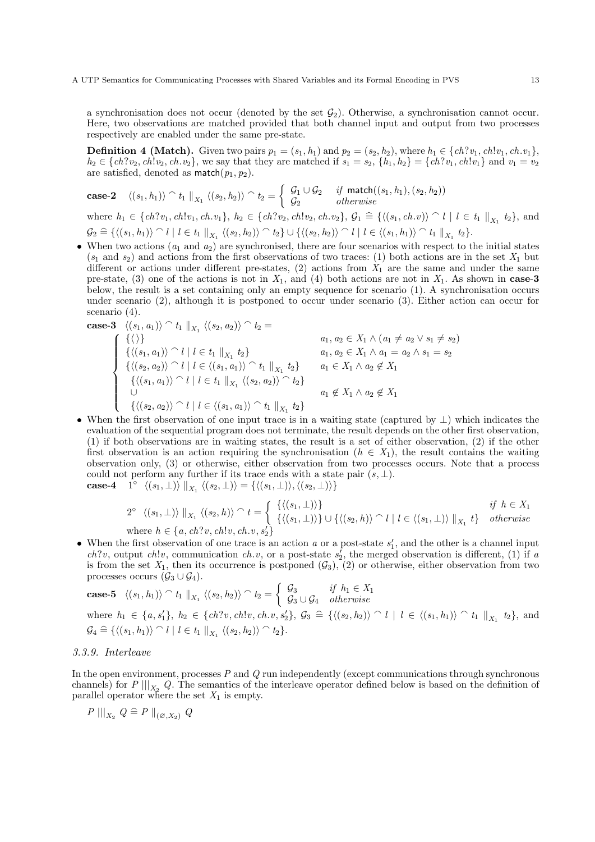<span id="page-12-0"></span>a synchronisation does not occur (denoted by the set  $\mathcal{G}_2$ ). Otherwise, a synchronisation cannot occur. Here, two observations are matched provided that both channel input and output from two processes respectively are enabled under the same pre-state.

**Definition 4 (Match).** Given two pairs  $p_1 = (s_1, h_1)$  and  $p_2 = (s_2, h_2)$ , where  $h_1 \in \{ch^2v_1, ch^2v_1, ch^2v_1\}$ ,  $h_2 \in \{ch?v_2, ch.v_2, ch.v_2\}$ , we say that they are matched if  $s_1 = s_2$ ,  $\{h_1, h_2\} = \{ch?v_1, ch.v_1\}$  and  $v_1 = v_2$ are satisfied, denoted as  $match(p_1, p_2)$ .

case-2 
$$
\langle (s_1, h_1) \rangle
$$
  $\cap$   $t_1 \parallel_{X_1} \langle (s_2, h_2) \rangle$   $\cap$   $t_2 = \begin{cases} \mathcal{G}_1 \cup \mathcal{G}_2 & \text{if match}((s_1, h_1), (s_2, h_2)) \\ \mathcal{G}_2 & \text{otherwise} \end{cases}$   
where  $h_1 \in \{ch?v_1, ch!v_1, ch.v_1\}$ ,  $h_2 \in \{ch?v_2, ch!v_2, ch.v_2\}$ ,  $\mathcal{G}_1 \subseteq \{ \langle (s_1, ch.v) \rangle \cap l \mid l \in t_1 \parallel_{X_1} t_2 \}$ , and  $\mathcal{G}_2 \subseteq \{ \langle (s_1, h_1) \rangle \cap l \mid l \in t_1 \parallel_{X_1} \langle (s_2, h_2) \rangle \cap t_2 \} \cup \{ \langle (s_2, h_2) \rangle \cap l \mid l \in \langle (s_1, h_1) \rangle \cap t_1 \parallel_{X_1} t_2 \}$ .  
When two actions  $(a_1 \text{ and } a_2)$  are synchronized, there are four scenarios with respect to the initial states

 $(s_1 \text{ and } s_2)$  and actions from the first observations of two traces: (1) both actions are in the set  $X_1$  but different or actions under different pre-states, (2) actions from  $\hat{X}_1$  are the same and under the same pre-state, (3) one of the actions is not in  $X_1$ , and (4) both actions are not in  $X_1$ . As shown in **case-3** below, the result is a set containing only an empty sequence for scenario (1). A synchronisation occurs under scenario (2), although it is postponed to occur under scenario (3). Either action can occur for scenario (4).

case-3 
$$
\langle (s_1, a_1) \rangle
$$
  $t_1 ||_{X_1} \langle (s_2, a_2) \rangle$   $t_2 =$   
\n
$$
\begin{cases}\n\{\langle \rangle\} & a_1, a_2 \in X_1 \land (a_1 \neq a_2 \lor s_1 \neq s_2) \\
\{\langle (s_1, a_1) \rangle \cap l | l \in t_1 ||_{X_1} t_2\} & a_1, a_2 \in X_1 \land a_1 = a_2 \land s_1 = s_2 \\
\{\langle (s_2, a_2) \rangle \cap l | l \in \langle (s_1, a_1) \rangle \cap t_1 ||_{X_1} t_2\} & a_1 \in X_1 \land a_2 \notin X_1 \\
\{\langle (s_1, a_1) \rangle \cap l | l \in t_1 ||_{X_1} \langle (s_2, a_2) \rangle \cap t_2\} & a_1 \notin X_1 \land a_2 \notin X_1 \\
\langle (s_2, a_2) \rangle \cap l | l \in \langle (s_1, a_1) \rangle \cap t_1 ||_{X_1} t_2\}\n\end{cases}
$$

• When the first observation of one input trace is in a waiting state (captured by ⊥) which indicates the evaluation of the sequential program does not terminate, the result depends on the other first observation, (1) if both observations are in waiting states, the result is a set of either observation, (2) if the other first observation is an action requiring the synchronisation ( $h \in X_1$ ), the result contains the waiting observation only, (3) or otherwise, either observation from two processes occurs. Note that a process could not perform any further if its trace ends with a state pair  $(s, \perp)$ . case-4  $\vec{1}^{\circ} \langle (s_1, \perp) \rangle \parallel_{X_1} \langle (s_2, \perp) \rangle = \{ \langle (s_1, \perp) \rangle, \langle (s_2, \perp) \rangle \}$ 

$$
\begin{array}{ll}\text{2}^{\circ} & \langle (s_1, \bot) \rangle \parallel_{X_1} \langle (s_2, h) \rangle \cong t = \left\{ \begin{array}{l} \{ \langle (s_1, \bot) \rangle \} & \text{if } h \in X_1 \\ \{ \langle (s_1, \bot) \rangle \} \cup \{ \langle (s_2, h) \rangle \cap l \mid l \in \langle (s_1, \bot) \rangle \mid \vert_{X_1} \ t \} & \text{otherwise} \end{array} \right. \\ \text{where } h \in \{a, ch?v, ch!v, ch.v, s_2' \} \end{array}
$$

• When the first observation of one trace is an action  $a$  or a post-state  $s_1'$ , and the other is a channel input  $ch?v$ , output  $ch!v$ , communication  $ch.v$ , or a post-state  $s'_{2}$ , the merged observation is different, (1) if a is from the set  $X_1$ , then its occurrence is postponed  $(\mathcal{G}_3)$ ,  $(2)$  or otherwise, either observation from two processes occurs  $(\mathcal{G}_3 \cup \mathcal{G}_4)$ .

**case-5** 
$$
\langle (s_1, h_1) \rangle \cap t_1 ||_{X_1} \langle (s_2, h_2) \rangle \cap t_2 = \begin{cases} \mathcal{G}_3 & \text{if } h_1 \in X_1 \\ \mathcal{G}_3 \cup \mathcal{G}_4 & \text{otherwise} \end{cases}
$$
  
where  $h_1 \in \{a, s'_1\}, h_2 \in \{ch?v, ch!v, ch.v, s'_2\}, \mathcal{G}_3 \cong \{ \langle (s_2, h_2) \rangle \cap l | l \in \langle (s_1, h_1) \rangle \cap t_1 ||_{X_1} t_2 \}$ , and  $\mathcal{G}_4 \cong \{ \langle (s_1, h_1) \rangle \cap l | l \in t_1 ||_{X_1} \langle (s_2, h_2) \rangle \cap t_2 \}$ .

# 3.3.9. Interleave

In the open environment, processes  $P$  and  $Q$  run independently (except communications through synchronous channels) for  $P \parallel_{X_2} Q$ . The semantics of the interleave operator defined below is based on the definition of parallel operator where the set  $X_1$  is empty.

 $P \parallel_{X_2} Q \widehat{=} P \parallel_{(\varnothing, X_2)} Q$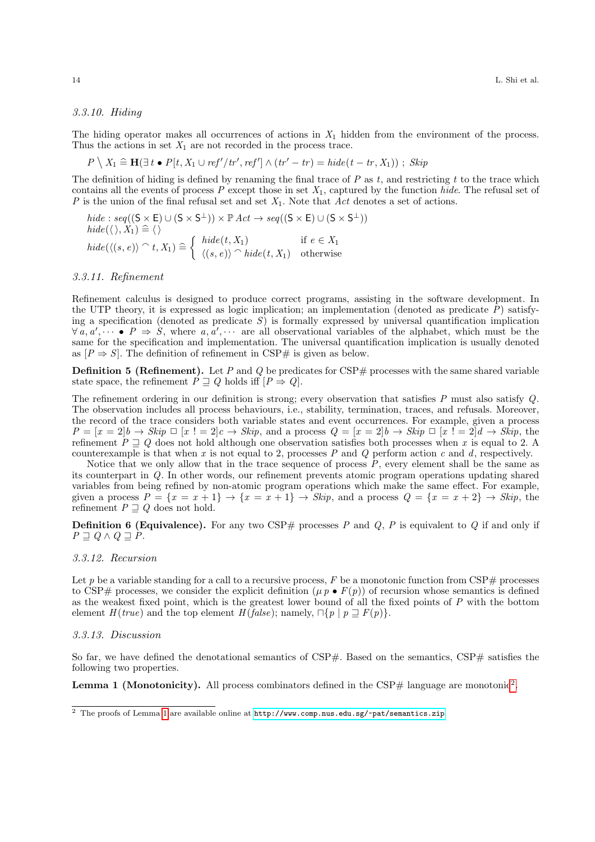#### 3.3.10. Hiding

The hiding operator makes all occurrences of actions in  $X_1$  hidden from the environment of the process. Thus the actions in set  $X_1$  are not recorded in the process trace.

$$
P\setminus X_1 \cong \mathbf{H}(\exists t \bullet P[t, X_1 \cup ref'/tr', ref'] \land (tr'-tr) = hide(t-tr, X_1)); \; Skip
$$

The definition of hiding is defined by renaming the final trace of  $P$  as  $t$ , and restricting  $t$  to the trace which contains all the events of process  $P$  except those in set  $X_1$ , captured by the function hide. The refusal set of P is the union of the final refusal set and set  $X_1$ . Note that Act denotes a set of actions.

$$
hide : seq((S \times E) \cup (S \times S^{\perp})) \times \mathbb{P} \text{ } Act \rightarrow seq((S \times E) \cup (S \times S^{\perp}))
$$
\n
$$
hide(\langle \rangle, X_1) \cong \langle \rangle
$$
\n
$$
hide(\langle \langle s, e \rangle \rangle \cap t, X_1) \cong \left\{ \begin{array}{ll} hide(t, X_1) & \text{if } e \in X_1 \\ \langle \langle s, e \rangle \rangle \cap hide(t, X_1) & \text{otherwise} \end{array} \right.
$$

#### 3.3.11. Refinement

Refinement calculus is designed to produce correct programs, assisting in the software development. In the UTP theory, it is expressed as logic implication; an implementation (denoted as predicate  $P$ ) satisfying a specification (denoted as predicate  $S$ ) is formally expressed by universal quantification implication  $\forall a, a', \cdots$   $\bullet$   $P \Rightarrow S$ , where  $a, a', \cdots$  are all observational variables of the alphabet, which must be the same for the specification and implementation. The universal quantification implication is usually denoted as  $[P \Rightarrow S]$ . The definition of refinement in CSP# is given as below.

**Definition 5 (Refinement).** Let P and Q be predicates for  $CSP#$  processes with the same shared variable state space, the refinement  $P \supseteq Q$  holds iff  $[P \Rightarrow Q]$ .

The refinement ordering in our definition is strong; every observation that satisfies P must also satisfy Q. The observation includes all process behaviours, i.e., stability, termination, traces, and refusals. Moreover, the record of the trace considers both variable states and event occurrences. For example, given a process  $P = [x = 2]b \rightarrow Skip \square [x] = 2]c \rightarrow Skip$ , and a process  $Q = [x = 2]b \rightarrow Skip \square [x] = 2]d \rightarrow Skip$ , the refinement  $P \sqsupseteq Q$  does not hold although one observation satisfies both processes when x is equal to 2. A counterexample is that when  $x$  is not equal to 2, processes  $P$  and  $Q$  perform action  $c$  and  $d$ , respectively.

Notice that we only allow that in the trace sequence of process  $\tilde{P}$ , every element shall be the same as its counterpart in Q. In other words, our refinement prevents atomic program operations updating shared variables from being refined by non-atomic program operations which make the same effect. For example, given a process  $P = \{x = x + 1\} \rightarrow \{x = x + 1\} \rightarrow Skip$ , and a process  $Q = \{x = x + 2\} \rightarrow Skip$ , the refinement  $P \sqsupseteq Q$  does not hold.

<span id="page-13-2"></span>**Definition 6 (Equivalence).** For any two CSP# processes P and Q, P is equivalent to Q if and only if  $P \sqsupseteq Q \wedge Q \sqsupseteq P$ .

#### 3.3.12. Recursion

Let p be a variable standing for a call to a recursive process, F be a monotonic function from  $CSP#$  processes to CSP# processes, we consider the explicit definition  $(\mu p \bullet F(p))$  of recursion whose semantics is defined as the weakest fixed point, which is the greatest lower bound of all the fixed points of  $P$  with the bottom element  $H(true)$  and the top element  $H(false)$ ; namely,  $\Box \{p \mid p \sqsupseteq F(p)\}.$ 

#### 3.3.13. Discussion

So far, we have defined the denotational semantics of  $CSP#$ . Based on the semantics,  $CSP#$  satisfies the following two properties.

<span id="page-13-1"></span>**Lemma 1 (Monotonicity).** All process combinators defined in the CSP# language are monotonic<sup>[2](#page-13-0)</sup>.

<span id="page-13-0"></span><sup>&</sup>lt;sup>2</sup> The proofs of Lemma [1](#page-13-1) are available online at  $\frac{http://www.comp.nus.edu.sg/~pat/semantics.zip.}$  $\frac{http://www.comp.nus.edu.sg/~pat/semantics.zip.}$  $\frac{http://www.comp.nus.edu.sg/~pat/semantics.zip.}$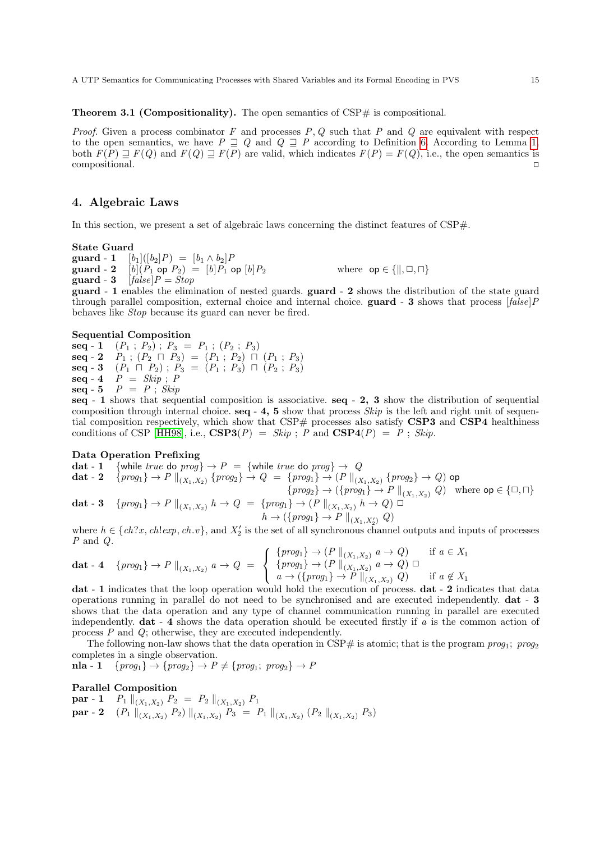**Theorem 3.1 (Compositionality).** The open semantics of  $CSP#$  is compositional.

*Proof.* Given a process combinator F and processes  $P, Q$  such that P and Q are equivalent with respect to the open semantics, we have  $P \supseteq Q$  and  $Q \supseteq P$  according to Definition [6.](#page-13-2) According to Lemma [1,](#page-13-1) both  $F(P) \supseteq F(Q)$  and  $F(Q) \supseteq F(P)$  are valid, which indicates  $F(P) = F(Q)$ , i.e., the open semantics is compositional. ✷

# <span id="page-14-0"></span>4. Algebraic Laws

In this section, we present a set of algebraic laws concerning the distinct features of  $CSP#$ .

#### State Guard

 $\, {\bf guard}$  -  $\, {\bf 1} \quad \, [b_1]([b_2]P) \ = \ [b_1 \wedge b_2]P$ guard - 2  $[b](P_1 \text{ op } P_2) = [b]P_1 \text{ op } [b]P_2$  where  $\text{op} \in \{ \|, \Box, \Box \}$ guard - 3  $[false]P = Stop$ 

guard - 1 enables the elimination of nested guards. guard - 2 shows the distribution of the state guard through parallel composition, external choice and internal choice. guard  $-3$  shows that process  $[false]$ behaves like Stop because its guard can never be fired.

#### Sequential Composition

seq - 1  $(P_1 ; P_2) ; P_3 = P_1 ; (P_2 ; P_3)$ <br>seq - 2  $P_1 : (P_2 \sqcap P_3) = (P_1 : P_2) \sqcap$ seq - 2  $P_1$ ;  $(P_2 \cap P_3) = (P_1 \cdot P_2) \cap (P_1 \cdot P_3)$ <br>seq - 3  $(P_1 \cap P_2)$ ;  $P_3 = (P_1 \cdot P_3) \cap (P_2 \cdot P_3)$  $\textbf{seq - 3} \quad (P_1 \; \sqcap \; P_2) ; P_3 = (P_1 ; P_3) \; \sqcap \; (P_2 ; P_3)$  $\sec q - 4$   $P = Skip ; P$  $\sec \theta - 5$   $P = P$ ; Skip

seq - 1 shows that sequential composition is associative. seq - 2, 3 show the distribution of sequential composition through internal choice.  $\sec q - 4$ , 5 show that process *Skip* is the left and right unit of sequential composition respectively, which show that  $CSP#$  processes also satisfy  $CSP3$  and  $CSP4$  healthiness conditions of CSP [\[HH98\]](#page-28-7), i.e.,  $CSP3(P) = Skip$ ; P and  $CSP4(P) = P$ ; Skip.

# Data Operation Prefixing

$$
\begin{array}{ll}\n\textbf{dat - 1} & \{ \text{while true do } prog \} \rightarrow P = \{ \text{while true do } prog \} \rightarrow Q \\
\textbf{dat - 2} & \{ prog_1 \} \rightarrow P \parallel_{(X_1, X_2)} \{ prog_2 \} \rightarrow Q = \{ prog_1 \} \rightarrow (P \parallel_{(X_1, X_2)} \{ prog_2 \} \rightarrow Q) \text{ op} \\
& \{ prog_2 \} \rightarrow (\{ prog_1 \} \rightarrow P \parallel_{(X_1, X_2)} Q) \text{ where } op \in \{\Box, \Box\} \\
\textbf{dat - 3} & \{ prog_1 \} \rightarrow P \parallel_{(X_1, X_2)} h \rightarrow Q = \{ prog_1 \} \rightarrow (P \parallel_{(X_1, X_2)} h \rightarrow Q) \Box \\
& \qquad h \rightarrow (\{ prog_1 \} \rightarrow P \parallel_{(X_1, X_2')} Q)\n\end{array}
$$

where  $h \in \{ch?x, ch!exp, ch.v\}$ , and  $X'_2$  is the set of all synchronous channel outputs and inputs of processes P and Q.

$$
\det - 4 \quad \{ \text{prog}_1 \} \to P \parallel_{(X_1, X_2)} a \to Q \quad = \quad \left\{ \begin{array}{l} \{ \text{prog}_1 \} \to (P \parallel_{(X_1, X_2)} a \to Q) \\ \{ \text{prog}_1 \} \to (P \parallel_{(X_1, X_2)} a \to Q) \; \Box \\ a \to (\{ \text{prog}_1 \} \to P \parallel_{(X_1, X_2)} Q) \end{array} \right. \quad \text{if } a \in X_1
$$

dat - 1 indicates that the loop operation would hold the execution of process. dat - 2 indicates that data operations running in parallel do not need to be synchronised and are executed independently. dat - 3 shows that the data operation and any type of channel communication running in parallel are executed independently. dat - 4 shows the data operation should be executed firstly if a is the common action of process P and Q; otherwise, they are executed independently.

The following non-law shows that the data operation in CSP# is atomic; that is the program  $prog_1$ ;  $prog_2$ completes in a single observation.

nla - 1  $\{prog_1\} \rightarrow \{prog_2\} \rightarrow P \neq \{prog_1; prog_2\} \rightarrow P$ 

Parallel Composition

**par - 1** 
$$
P_1 \|_{(X_1, X_2)} P_2 = P_2 \|_{(X_1, X_2)} P_1
$$
  
\n**par - 2**  $(P_1 \|_{(X_1, X_2)} P_2) \|_{(X_1, X_2)} P_3 = P_1 \|_{(X_1, X_2)} (P_2 \|_{(X_1, X_2)} P_3)$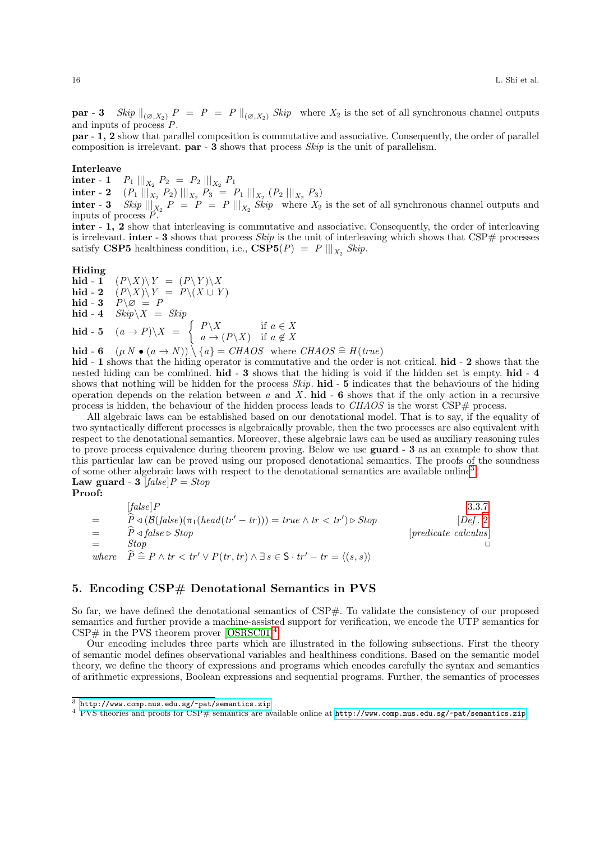**par - 3** Skip  $\|_{(\emptyset, X_2)} P = P = P \|_{(\emptyset, X_2)}$  Skip where  $X_2$  is the set of all synchronous channel outputs and inputs of process  $P$ .

par - 1, 2 show that parallel composition is commutative and associative. Consequently, the order of parallel composition is irrelevant.  $par - 3$  shows that process *Skip* is the unit of parallelism.

#### Interleave

 $\quad \quad \textbf{inter - 1} \quad P_1 \mid\mid\mid_{X_2} P_2 \ = \ P_2 \mid\mid\mid_{X_2} P_1$ 

 $\textbf{inter - 2} \quad (P_1 \mid ||_{X_2} P_2) \mid ||_{X_2} P_3 = P_1 \mid ||_{X_2} (P_2 \mid ||_{X_2} P_3)$ 

**inter** - 3 Skip  $\lim_{X_2} P = P = P \lim_{X_2} Skip$  where  $X_2$  is the set of all synchronous channel outputs and inputs of process P.

inter - 1, 2 show that interleaving is commutative and associative. Consequently, the order of interleaving is irrelevant. inter - 3 shows that process  $Skip$  is the unit of interleaving which shows that  $CSP#$  processes satisfy **CSP5** healthiness condition, i.e.,  $CSP5(P) = P \parallel \parallel_{X_2} Skip.$ 

Proof:

Hiding<br>hid - 1 hid - 1  $(P\backslash X)\backslash Y = (P\backslash Y)\backslash X$ hid - 2  $(P\backslash X)\backslash Y = P\backslash (X \cup Y)$ hid - 3  $P \overrightarrow{\otimes} = P$ hid - 4  $\ Skip \hbox{\it kip}\setminus X \ = \ Skip$ hid - 5  $(a \rightarrow P) \setminus X = \begin{cases} P \setminus X & \text{if } a \in X \\ a \setminus (B \setminus Y) & \text{if } a \neq Y \end{cases}$  $a \to (P \backslash X)$  if  $a \notin X$ 

hid - 6  $(\mu N \bullet (a \to N)) \setminus \{a\} = \text{CHAOS}$  where  $\text{CHAOS} \cong H (true)$ hid - 1 shows that the hiding operator is commutative and the order is not critical. hid - 2 shows that the

nested hiding can be combined. hid - 3 shows that the hiding is void if the hidden set is empty. hid - 4 shows that nothing will be hidden for the process Skip. hid - 5 indicates that the behaviours of the hiding operation depends on the relation between a and X. hid  $\cdot$  6 shows that if the only action in a recursive process is hidden, the behaviour of the hidden process leads to  $CHAOS$  is the worst  $CSP#$  process.

All algebraic laws can be established based on our denotational model. That is to say, if the equality of two syntactically different processes is algebraically provable, then the two processes are also equivalent with respect to the denotational semantics. Moreover, these algebraic laws can be used as auxiliary reasoning rules to prove process equivalence during theorem proving. Below we use guard - 3 as an example to show that this particular law can be proved using our proposed denotational semantics. The proofs of the soundness of some other algebraic laws with respect to the denotational semantics are available online[3](#page-15-1) . Law guard - 3  $[false]P = Stop$ 

 $[false]P$  [\[3](#page-10-0).3.7]  $=$   $\widehat{P} \triangleleft (\mathcal{B}(false)(\pi_1(head(tr' - tr))) = true \wedge tr < tr') \triangleright Stop$  [Def. [2\]](#page-8-3)  $=\hat{P}\triangleleft false \triangleright Stop$  [predicate calculus]<br>= Stop  $\Box$  $=$   $Stop$ where  $\hat{P} \triangleq P \wedge tr < tr' \vee P(tr, tr) \wedge \exists s \in S \cdot tr' - tr = \langle (s, s) \rangle$ 

# <span id="page-15-0"></span>5. Encoding CSP# Denotational Semantics in PVS

So far, we have defined the denotational semantics of CSP#. To validate the consistency of our proposed semantics and further provide a machine-assisted support for verification, we encode the UTP semantics for  $CSP#$  in the PVS theorem prover  $[OSRSC01]^{4}$  $[OSRSC01]^{4}$  $[OSRSC01]^{4}$  $[OSRSC01]^{4}$ .

Our encoding includes three parts which are illustrated in the following subsections. First the theory of semantic model defines observational variables and healthiness conditions. Based on the semantic model theory, we define the theory of expressions and programs which encodes carefully the syntax and semantics of arithmetic expressions, Boolean expressions and sequential programs. Further, the semantics of processes

<span id="page-15-1"></span><sup>3</sup> <http://www.comp.nus.edu.sg/~pat/semantics.zip>

<span id="page-15-2"></span><sup>4</sup> PVS theories and proofs for CSP# semantics are available online at <http://www.comp.nus.edu.sg/~pat/semantics.zip>.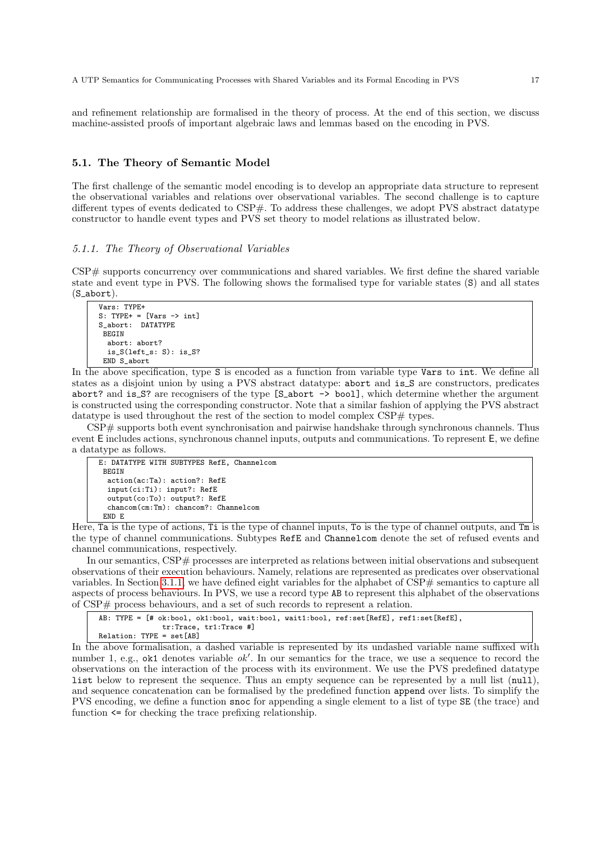and refinement relationship are formalised in the theory of process. At the end of this section, we discuss machine-assisted proofs of important algebraic laws and lemmas based on the encoding in PVS.

# 5.1. The Theory of Semantic Model

The first challenge of the semantic model encoding is to develop an appropriate data structure to represent the observational variables and relations over observational variables. The second challenge is to capture different types of events dedicated to CSP#. To address these challenges, we adopt PVS abstract datatype constructor to handle event types and PVS set theory to model relations as illustrated below.

#### <span id="page-16-0"></span>5.1.1. The Theory of Observational Variables

CSP# supports concurrency over communications and shared variables. We first define the shared variable state and event type in PVS. The following shows the formalised type for variable states (S) and all states  $(S<sub>=</sub>abort).$ 

```
Vars: TYPE+
S: TYPE+ = [Vars -> int]
S_abort: DATATYPE
BEGIN
  abort: abort?
  is_S(left_s: S): is_S?
 END S_abort
```
In the above specification, type S is encoded as a function from variable type Vars to int. We define all states as a disjoint union by using a PVS abstract datatype: abort and is S are constructors, predicates abort? and is S? are recognisers of the type [S\_abort -> bool], which determine whether the argument is constructed using the corresponding constructor. Note that a similar fashion of applying the PVS abstract datatype is used throughout the rest of the section to model complex CSP# types.

CSP# supports both event synchronisation and pairwise handshake through synchronous channels. Thus event E includes actions, synchronous channel inputs, outputs and communications. To represent E, we define a datatype as follows.

```
E: DATATYPE WITH SUBTYPES RefE, Channelcom
 BEGIN
  action(ac:Ta): action?: RefE
  input(ci:Ti): input?: RefE
  output(co:To): output?: RefE
  chancom(cm:Tm): chancom?: Channelcom
 END E
```
Here, Ta is the type of actions, Ti is the type of channel inputs, To is the type of channel outputs, and Tm is the type of channel communications. Subtypes RefE and Channelcom denote the set of refused events and channel communications, respectively.

In our semantics, CSP# processes are interpreted as relations between initial observations and subsequent observations of their execution behaviours. Namely, relations are represented as predicates over observational variables. In Section [3.1.1,](#page-6-1) we have defined eight variables for the alphabet of CSP# semantics to capture all aspects of process behaviours. In PVS, we use a record type AB to represent this alphabet of the observations of CSP# process behaviours, and a set of such records to represent a relation.

```
AB: TYPE = [# ok:bool, ok1:bool, wait:bool, wait1:bool, ref:set[RefE], ref1:set[RefE],
               tr:Trace, tr1:Trace #]
Relation: TYPE = set[AB]
```
In the above formalisation, a dashed variable is represented by its undashed variable name suffixed with number 1, e.g., ok1 denotes variable  $ok'$ . In our semantics for the trace, we use a sequence to record the observations on the interaction of the process with its environment. We use the PVS predefined datatype list below to represent the sequence. Thus an empty sequence can be represented by a null list (null), and sequence concatenation can be formalised by the predefined function append over lists. To simplify the PVS encoding, we define a function snoc for appending a single element to a list of type SE (the trace) and function <= for checking the trace prefixing relationship.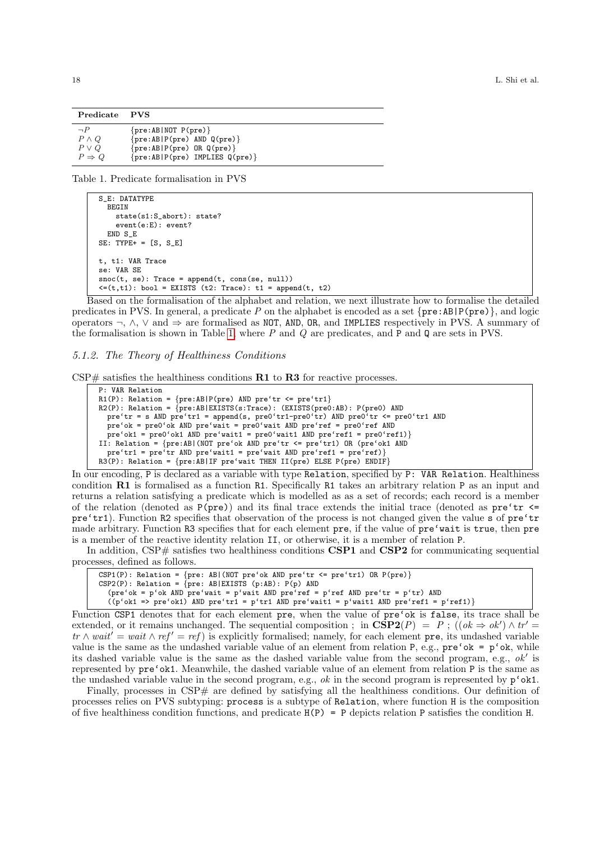| Predicate         | <b>PVS</b>                            |
|-------------------|---------------------------------------|
| $\neg P$          | $\{pre: AB  NOT P(pre)\}$             |
| $P \wedge Q$      | ${pre:AB P(pre)$ AND $Q(pre)$         |
| $P \vee Q$        | $\{pre: AB   P(pre) \ OR \ Q(pre) \}$ |
| $P \Rightarrow Q$ | ${pre:AB P(pre)$ IMPLIES $Q(pre)$     |

Table 1. Predicate formalisation in PVS

```
S_E: DATATYPE
  BEGIN
    state(s1:S_abort): state?
    event(e:E): event?
  END S_E
SE: TYPE++ = [S, S_E]t, t1: VAR Trace
se: VAR SE
snoc(t, se): Trace = append(t, cons(se, null))
\leq (t,t1): bool = EXISTS (t2: Trace): t1 = append(t, t2)
```
Based on the formalisation of the alphabet and relation, we next illustrate how to formalise the detailed predicates in PVS. In general, a predicate P on the alphabet is encoded as a set  ${pre:AB|P(pre)}$ , and logic operators ¬, ∧, ∨ and ⇒ are formalised as NOT, AND, OR, and IMPLIES respectively in PVS. A summary of the formalisation is shown in Table [1,](#page-17-0) where P and Q are predicates, and P and Q are sets in PVS.

#### 5.1.2. The Theory of Healthiness Conditions

 $CSP\#$  satisfies the healthiness conditions R1 to R3 for reactive processes.

```
P: VAR Relation
R1(P): Relation = {pre:AB|P(pre) AND pre'tr <= pre'tr1}
R2(P): Relation = {pre:AB|EXISTS(s:Trace): (EXISTS(pre0:AB): P(pre0) AND
  pre'tr = s AND pre'tr1 = append(s, pre0'tr1-pre0'tr) AND pre0'tr <= pre0'tr1 AND
  pre'ok = pre0'ok AND pre'wait = pre0'wait AND pre'ref = pre0'ref AND
 pre'ok1 = pre0'ok1 AND pre'wait1 = pre0'wait1 AND pre'ref1 = pre0'ref1) }
II: Relation = {pre:AB|(NOT pre'ok AND pre'tr <= pre'tr1) OR (pre'ok1 AND
  pre'tr1 = pre'tr AND pre'wait1 = pre'wait AND pre'ref1 = pre'ref) }
R3(P): Relation = {pre:AB|IF pre'wait THEN II(pre) ELSE P(pre) ENDIF}
```
In our encoding, P is declared as a variable with type Relation, specified by P: VAR Relation. Healthiness condition R1 is formalised as a function R1. Specifically R1 takes an arbitrary relation P as an input and returns a relation satisfying a predicate which is modelled as as a set of records; each record is a member of the relation (denoted as  $P(\text{pre})$ ) and its final trace extends the initial trace (denoted as  $\text{pre'}\text{tr} \leq$ pre'tr1). Function R2 specifies that observation of the process is not changed given the value s of pre'tr made arbitrary. Function R3 specifies that for each element pre, if the value of pre'wait is true, then pre is a member of the reactive identity relation II, or otherwise, it is a member of relation P.

In addition,  $CSP\#$  satisfies two healthiness conditions  $CSP1$  and  $CSP2$  for communicating sequential processes, defined as follows.

```
CSP1(P): Relation = {pre: AB|(NOT pre'ok AND pre'tr \le pre'tr1) OR P(pre)}CSP2(P): Relation = {pre: AB|EXISTS (p:AB): P(p) AND
  (pre'ok = p'ok AND pre'wait = p'wait AND pre'ref = p'ref AND pre'tr = p'tr) AND
  ((p'ok1 \Rightarrow pre'ok1) AND pre'tr1 = p'tr1 AND pre'wait1 = p'wait1 AND pre'ref1 = p'ref1) }
```
Function CSP1 denotes that for each element pre, when the value of pre'ok is false, its trace shall be extended, or it remains unchanged. The sequential composition ; in  $\mathbf{CSP2}(P) = P$ ;  $((ok \Rightarrow ok') \wedge tr' =$  $tr \wedge wait' = wait \wedge ref' = ref)$  is explicitly formalised; namely, for each element pre, its undashed variable value is the same as the undashed variable value of an element from relation P, e.g.,  $pre'ok = p'ok$ , while its dashed variable value is the same as the dashed variable value from the second program, e.g.,  $ok'$  is represented by pre'ok1. Meanwhile, the dashed variable value of an element from relation P is the same as the undashed variable value in the second program, e.g., ok in the second program is represented by p'ok1.

Finally, processes in CSP# are defined by satisfying all the healthiness conditions. Our definition of processes relies on PVS subtyping: process is a subtype of Relation, where function H is the composition of five healthiness condition functions, and predicate  $H(P) = P$  depicts relation P satisfies the condition H.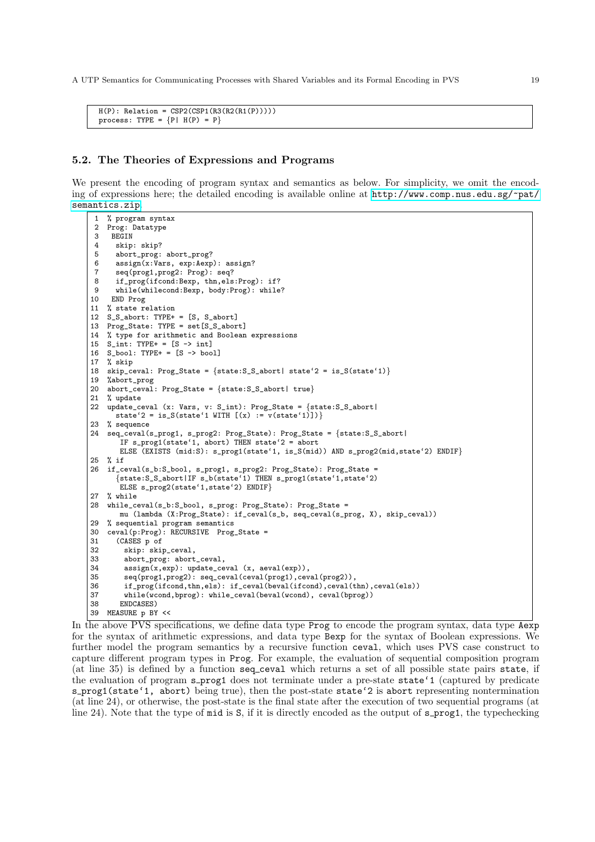```
H(P): Relation = CSP2(CSP1(R3(R2(R1(P)))))
process: TYPE = {P| H(P) = P}
```
#### <span id="page-18-0"></span>5.2. The Theories of Expressions and Programs

We present the encoding of program syntax and semantics as below. For simplicity, we omit the encoding of expressions here; the detailed encoding is available online at [http://www.comp.nus.edu.sg/~pat/](http://www.comp.nus.edu.sg/~pat/semantics.zip) [semantics.zip](http://www.comp.nus.edu.sg/~pat/semantics.zip).

```
1 % program syntax<br>2 Prog: Datatype
 2 Prog: Datatype
 3 BEGIN<br>4 skip
        skip: skip?
 5 abort_prog: abort_prog?<br>6 assign(x:Vars_exn:Aexn
 6 \text{assign}(x:\text{Vars}, \text{exp:Aexp}): \text{assign?}<br>7 \text{seq}(\text{proof}, \text{prog}): \text{Step?}7 seq(prog1,prog2: Prog): seq?<br>8 if prog(ifcond:Bexp, thp.els
 8 if_prog(ifcond:Bexp, thn,els:Prog): if?<br>9 while(whilecond:Bexp, hody:Prog): while
end the conduction of the while while while while while the conduct of the conduct of the conduct of the conduct of the conduct of the conduct of the conduct of the conduct of the conduct of the conduct of the conduct of t
     END Prog
11 % state relation
12 S_S_abort: TYPE+ = [S, S_abort]
13 Prog_State: TYPE = set[S_S_abort]
14 % type for arithmetic and Boolean expressions
15 S_int: TYPE+ = [S \rightarrow int]16 S_bool: TYPE+ = [S -> bool]
17 % skip
18 skip_ceval: Prog_State = {state: S_S_abort | state'2 = is_S(state'1)}
19 %abort_prog
20 abort_ceval: Prog_State = {state:S_S_abort| true}
21 % update
22 update_ceval (x: Vars, v: S_int): Prog_State = {state:S_S_abort|
        state'2 = is_S(state'1 WITH [(x) := v(\text{state}'1)])
23 % sequence
24 seq_ceval(s_prog1, s_prog2: Prog_State): Prog_State = {state:S_S_abort|
         IF s_prog1(state'1, abort) THEN state'2 = abort
         ELSE (EXISTS (mid:S): s_prog1(state'1, is_S(mid)) AND s_prog2(mid,state'2) ENDIF}
25 % if
26 if_ceval(s_b:S_bool, s_prog1, s_prog2: Prog_State): Prog_State =
        {state:S_S_abort|IF s_b(state'1) THEN s_prog1(state'1,state'2)
         ELSE s_prog2(state'1,state'2) ENDIF}
27 % while
28 while_ceval(s_b:S_bool, s_prog: Prog_State): Prog_State =
         mu (lambda (X:Prog_State): if_ceval(s_b, seq_ceval(s_prog, X), skip_ceval))
29 % sequential program semantics<br>30 ceval(p:Prog): RECURSIVE Prog
30 ceval(p:Prog): RECURSIVE Prog_State = 31 (CASES p of
31 (CASES p of 32 skip: ski
32 skip: skip_ceval,<br>33 abort_prog: abort
          abort_prog: abort_ceval,
34 assign(x,exp): update_ceval (x, aeval(exp)),
35 seq(prog1,prog2): seq_ceval(ceval(prog1),ceval(prog2)),<br>36 if prog(ifcond.thn.els): if ceval(beval(ifcond).ceval(t
36 if_prog(ifcond,thn,els): if_ceval(beval(ifcond),ceval(thn),ceval(els))<br>37 while(wcond.bprog): while ceval(beval(wcond), ceval(bprog))
          while(wcond,bprog): while_ceval(beval(wcond), ceval(bprog))
38 ENDCASES)
39 MEASURE p BY <<
```
In the above PVS specifications, we define data type Prog to encode the program syntax, data type Aexp for the syntax of arithmetic expressions, and data type Bexp for the syntax of Boolean expressions. We further model the program semantics by a recursive function ceval, which uses PVS case construct to capture different program types in Prog. For example, the evaluation of sequential composition program (at line 35) is defined by a function seq ceval which returns a set of all possible state pairs state, if the evaluation of program s\_prog1 does not terminate under a pre-state state'1 (captured by predicate s\_prog1(state'1, abort) being true), then the post-state state'2 is abort representing nontermination (at line 24), or otherwise, the post-state is the final state after the execution of two sequential programs (at line 24). Note that the type of  $mid$  is S, if it is directly encoded as the output of  $s$ -prog1, the typechecking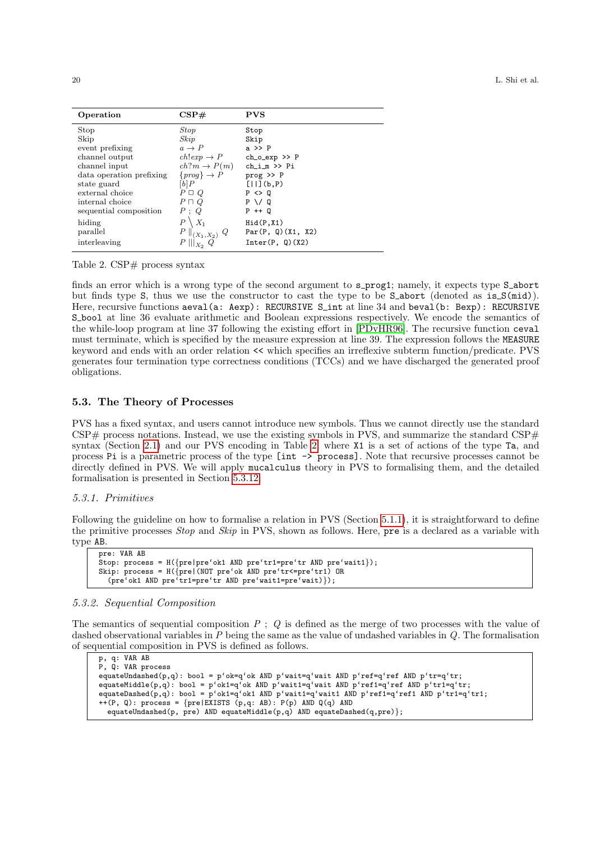| Operation                | CSP#                        | <b>PVS</b>            |
|--------------------------|-----------------------------|-----------------------|
| Stop                     | Stop                        | Stop                  |
| Skip                     | Skip                        | Skip                  |
| event prefixing          | $a \rightarrow P$           | $a \gg P$             |
| channel output           | $ch!exp \rightarrow P$      | $ch_0_{exp}$ >> P     |
| channel input            | $ch?m \rightarrow P(m)$     | $ch_i_m \gg Pi$       |
| data operation prefixing | $\{prog\} \rightarrow P$    | $prog \geq P$         |
| state guard              | $\lceil b \rceil P$         | [11](b, P)            |
| external choice          | $P \square Q$               | $P \leftrightarrow 0$ |
| internal choice          | $P \sqcap Q$                | $P \vee Q$            |
| sequential composition   | $P$ ; Q                     | $P$ ++ 0              |
| hiding                   | $\boldsymbol{P}$<br>$X_1$   | Hid(P,X1)             |
| parallel                 | $P \parallel_{(X_1,X_2)} Q$ | Par(P, Q)(X1, X2)     |
| interleaving             | $P\parallel_{X_2} Q$        | Inter(P, Q)(X2)       |

<span id="page-19-0"></span>Table 2. CSP# process syntax

finds an error which is a wrong type of the second argument to s\_prog1; namely, it expects type S\_abort but finds type S, thus we use the constructor to cast the type to be S\_abort (denoted as is\_S(mid)). Here, recursive functions aeval(a: Aexp): RECURSIVE S\_int at line 34 and beval(b: Bexp): RECURSIVE S bool at line 36 evaluate arithmetic and Boolean expressions respectively. We encode the semantics of the while-loop program at line 37 following the existing effort in [\[PDvHR96\]](#page-29-13). The recursive function ceval must terminate, which is specified by the measure expression at line 39. The expression follows the MEASURE keyword and ends with an order relation << which specifies an irreflexive subterm function/predicate. PVS generates four termination type correctness conditions (TCCs) and we have discharged the generated proof obligations.

# 5.3. The Theory of Processes

PVS has a fixed syntax, and users cannot introduce new symbols. Thus we cannot directly use the standard  $CSP\#$  process notations. Instead, we use the existing symbols in PVS, and summarize the standard  $CSP\#$ syntax (Section [2.1\)](#page-2-2) and our PVS encoding in Table [2,](#page-19-0) where X1 is a set of actions of the type Ta, and process Pi is a parametric process of the type [int -> process]. Note that recursive processes cannot be directly defined in PVS. We will apply mucalculus theory in PVS to formalising them, and the detailed formalisation is presented in Section [5.3.12.](#page-24-0)

# 5.3.1. Primitives

Following the guideline on how to formalise a relation in PVS (Section [5.1.1\)](#page-16-0), it is straightforward to define the primitive processes Stop and Skip in PVS, shown as follows. Here, pre is a declared as a variable with type AB.

pre: VAR AB Stop: process = H({pre|pre'ok1 AND pre'tr1=pre'tr AND pre'wait1}); Skip: process = H({pre|(NOT pre'ok AND pre'tr<=pre'tr1) OR (pre'ok1 AND pre'tr1=pre'tr AND pre'wait1=pre'wait)});

#### <span id="page-19-1"></span>5.3.2. Sequential Composition

The semantics of sequential composition P ; Q is defined as the merge of two processes with the value of dashed observational variables in P being the same as the value of undashed variables in Q. The formalisation of sequential composition in PVS is defined as follows.

```
p, q: VAR AB
P, Q: VAR process
equateUndashed(p,q): bool = p'ok=q'ok AND p'wait=q'wait AND p'ref=q'ref AND p'tr=q'tr;
equateMiddle(p,q): bool = p'ok1=q'ok AND p'wait1=q'wait AND p'ref1=q'ref AND p'tr1=q'tr;
equateDashed(p,q): bool = p'ok1=q'ok1 AND p'wait1=q'wait1 AND p'ref1=q'ref1 AND p'tr1=q'tr1;
++(P, Q): process = {pre|EXISTS (p,q: AB): P(p) AND Q(q) AND
  equateUndashed(p, pre) AND equateMiddle(p,q) AND equateDashed(q,pre)};
```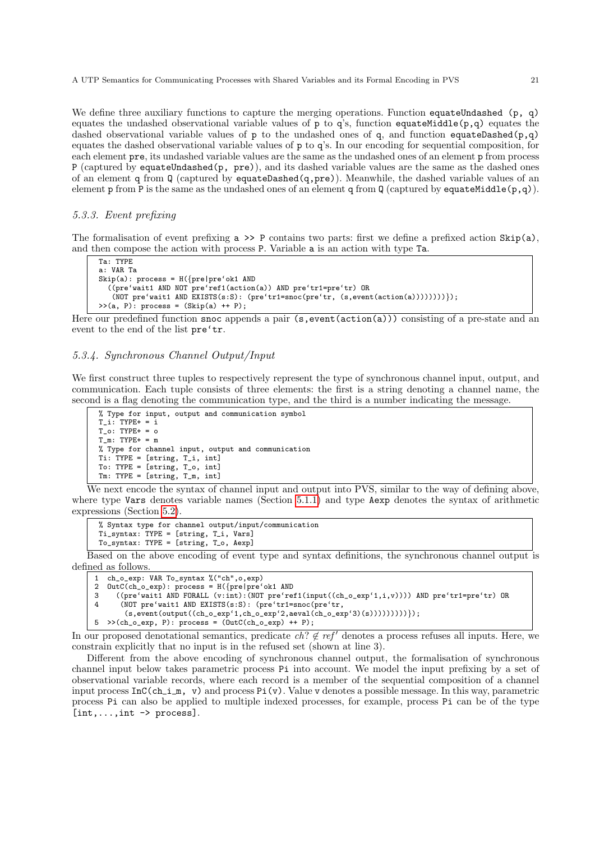We define three auxiliary functions to capture the merging operations. Function equateUndashed (p, q) equates the undashed observational variable values of  $p$  to  $q$ 's, function equateMiddle( $p,q$ ) equates the dashed observational variable values of  $p$  to the undashed ones of q, and function equateDashed( $p,q$ ) equates the dashed observational variable values of p to q's. In our encoding for sequential composition, for each element pre, its undashed variable values are the same as the undashed ones of an element p from process P (captured by equateUndashed(p, pre)), and its dashed variable values are the same as the dashed ones of an element q from Q (captured by equateDashed(q,pre)). Meanwhile, the dashed variable values of an element p from P is the same as the undashed ones of an element q from Q (captured by equateMiddle(p,q)).

### 5.3.3. Event prefixing

The formalisation of event prefixing  $a \gg P$  contains two parts: first we define a prefixed action  $\text{Skip}(a)$ , and then compose the action with process P. Variable a is an action with type Ta.

```
Ta: TYPE
a: VAR Ta
Skip(a): process = H({pre|pre'ok1 AND
  ((pre'wait1 AND NOT pre'ref1(action(a)) AND pre'tr1=pre'tr) OR
   (NOT pre'wait1 AND EXISTS(s:S): (pre'tr1=snoc(pre'tr, (s,event(action(a)))))))))));
>>(a, P): process = (Skip(a) ++ P);
```
Here our predefined function snoc appends a pair  $(s, event(action(a)))$  consisting of a pre-state and an event to the end of the list pre'tr.

#### 5.3.4. Synchronous Channel Output/Input

We first construct three tuples to respectively represent the type of synchronous channel input, output, and communication. Each tuple consists of three elements: the first is a string denoting a channel name, the second is a flag denoting the communication type, and the third is a number indicating the message.

```
% Type for input, output and communication symbol
T_i: TYPE+ = i
T_0: TYPE+ = o
T_m: TYPE+ = m
% Type for channel input, output and communication
Ti: TYPE = [string, T_i, int]
To: TYPE = [string, T_o, int]
Tm: TYPE = [string, T_m, int]
```
We next encode the syntax of channel input and output into PVS, similar to the way of defining above, where type Vars denotes variable names (Section [5.1.1\)](#page-16-0) and type Aexp denotes the syntax of arithmetic expressions (Section [5.2\)](#page-18-0).

```
% Syntax type for channel output/input/communication
Ti_syntax: TYPE = [string, T_i, Vars]
To_syntax: TYPE = [string, T_o, Aexp]
```
Based on the above encoding of event type and syntax definitions, the synchronous channel output is defined as follows.

```
1 ch_o_exp: VAR To_syntax %("ch",o,exp)
```

```
2 OutC(ch_o_exp): process = H({pre|pre'ok1 AND 3 (nref=valt1 AND FORAIL (v:int)) : (NOT pre'ref=0))
```

```
3 ((pre'wait1 AND FORALL (v:int):(NOT pre'ref1(input((ch_o_exp'1,i,v)))) AND pre'tr1=pre'tr) OR
```

```
4 (NOT pre'wait1 AND EXISTS(s:S): (pre'tr1=snoc(pre'tr,
```
 $(s,\mathtt{event}(\mathtt{output}((\mathtt{ch\_o\_exp'}1,\mathtt{ch\_o\_exp'}2,\mathtt{aeval}(\mathtt{ch\_o\_exp'}3)(s)))))))))\} \};$ 

```
5 \rightarrow (ch_o\_exp, P): process = (OutC(ch_o\_exp) ++ P);
```
In our proposed denotational semantics, predicate  $ch? \notin ref'$  denotes a process refuses all inputs. Here, we constrain explicitly that no input is in the refused set (shown at line 3).

Different from the above encoding of synchronous channel output, the formalisation of synchronous channel input below takes parametric process Pi into account. We model the input prefixing by a set of observational variable records, where each record is a member of the sequential composition of a channel input process  $InC(ch_i, w)$  and process  $Pi(v)$ . Value v denotes a possible message. In this way, parametric process Pi can also be applied to multiple indexed processes, for example, process Pi can be of the type  $[int, \ldots, int \rightarrow process].$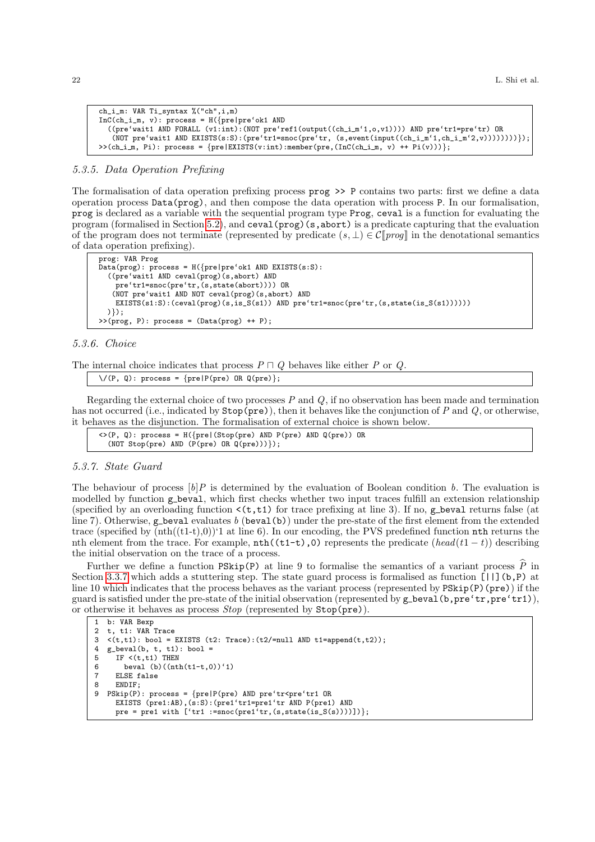```
ch_i_m: VAR Ti_syntax %("ch",i,m)
InC(ch_i_m, v): process = H({pre|pre'ok1 AND})((pre'wait1 AND FORALL (v1:int):(NOT pre'ref1(output((ch i m'1,o,v1)))) AND pre'tr1=pre'tr) OR
   (NOT pre'wait1 AND EXISTS(s:S):(pre'tr1=snoc(pre'tr, (s,event(input((ch_i_m'1,ch_i_m'2,v))))))))))););
\Rightarrow (ch_i_m, Pi): process = {pre|EXISTS(v:int):member(pre,(InC(ch_i_m, v) ++ Pi(v)))};
```
#### 5.3.5. Data Operation Prefixing

The formalisation of data operation prefixing process prog >> P contains two parts: first we define a data operation process Data(prog), and then compose the data operation with process P. In our formalisation, prog is declared as a variable with the sequential program type Prog, ceval is a function for evaluating the program (formalised in Section [5.2\)](#page-18-0), and ceval(prog)(s,abort) is a predicate capturing that the evaluation of the program does not terminate (represented by predicate  $(s, \perp) \in \mathcal{C}[[prog]]$  in the denotational semantics of data operation prefixing).

```
prog: VAR Prog
\overline{\text{Data}}(\text{prog}): process = H({pre|pre'ok1 AND EXISTS(s:S):
  ((pre'wait1 AND ceval(prog)(s,abort) AND
    pre'tr1=snoc(pre'tr,(s,state(abort)))) OR
   (NOT pre'wait1 AND NOT ceval(prog)(s,abort) AND
    E XISTS(s1:S):(ceval(prog)(s,is_S(s1)) AND pre'tr1=snoc(pre'tr,(s,state(is_S(s1))))))
  )});
>>(prog, P): process = (Data(prog) ++ P);
```
### 5.3.6. Choice

The internal choice indicates that process  $P \sqcap Q$  behaves like either P or Q.

```
\setminus/(P, Q): process = {pre|P(pre) OR Q(pre)};
```
Regarding the external choice of two processes  $P$  and  $Q$ , if no observation has been made and termination has not occurred (i.e., indicated by  $\text{Stop}(pre)$ ), then it behaves like the conjunction of P and Q, or otherwise, it behaves as the disjunction. The formalisation of external choice is shown below.

 $\langle P, Q \rangle$ : process = H({pre|(Stop(pre) AND P(pre) AND Q(pre)) OR  $(NOT^{[1]}(pre)$  AND  $(P(\text{pre})$  OR  $Q(\text{pre})))$ ;

# 5.3.7. State Guard

The behaviour of process  $[b]P$  is determined by the evaluation of Boolean condition b. The evaluation is modelled by function g beval, which first checks whether two input traces fulfill an extension relationship (specified by an overloading function  $\langle (t,t_1) \rangle$  for trace prefixing at line 3). If no, g beval returns false (at line 7). Otherwise, g beval evaluates b (beval(b)) under the pre-state of the first element from the extended trace (specified by  $\overline{(nth((t1-t),0))}$ <sup>1</sup> at line 6). In our encoding, the PVS predefined function nth returns the nth element from the trace. For example,  $nth($ t $t1-t)$ ,0) represents the predicate (head(t1 − t)) describing the initial observation on the trace of a process.

Further we define a function PSkip(P) at line 9 to formalise the semantics of a variant process  $\hat{P}$  in Section [3.3.7](#page-10-0) which adds a stuttering step. The state guard process is formalised as function  $\left[1\right]$ (b,P) at line 10 which indicates that the process behaves as the variant process (represented by PSkip(P)(pre)) if the guard is satisfied under the pre-state of the initial observation (represented by g beval(b,pre'tr,pre'tr1)), or otherwise it behaves as process Stop (represented by Stop(pre)).

```
1 b: VAR Bexp
2 t, t1: VAR^T Trace<br>3 \leq (t.t1): bool =
3 \langle (t,t1) : \text{bool} = \text{EXISTS} (t2: \text{Trace}) : (t2/\text{null AND } t1=\text{append}(t,t2));<br>4 g heval(h t + 1) : hool =
   g_{\text{1}}beval(b, t, t1): bool =
5 IF <(t,t1) THEN
6 beval (b)((int(t1-t,0))'1)
7 ELSE false<br>8 ENDIF:
8 ENDIF;<br>9 PSkin(P)
  PSkip(P): process = {pre|P(pre)|} AND pre'tr<sup>c</sup>ire'tr1 OR
       EXISTS (pre1:AB),(s:S):(pre1'tr1=pre1'tr AND P(pre1) AND
       pre = pre1 with ['tr1 := snoc(prel'tr, (s, state(is.S(s))))]];
```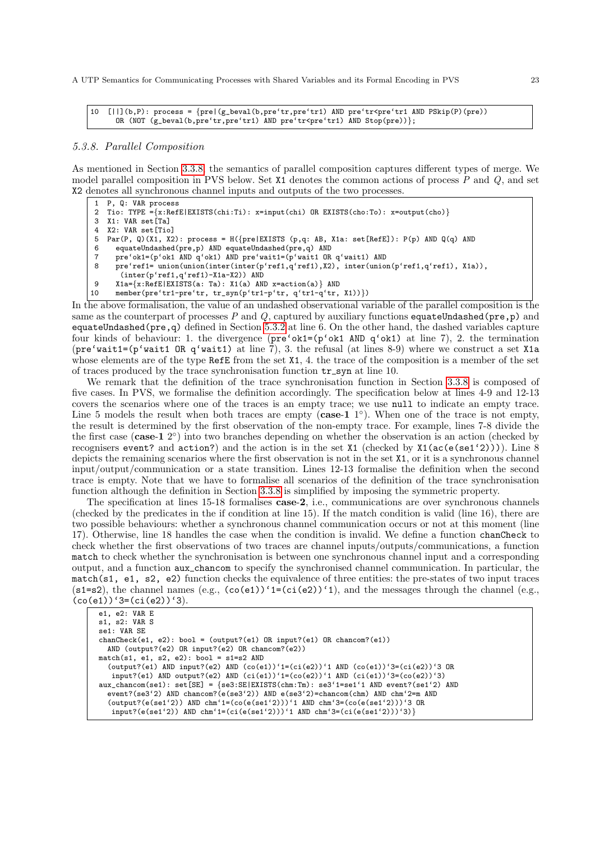10 [||](b,P): process = {pre|(g\_beval(b,pre'tr,pre'tr1) AND pre'tr<pre'tr1 AND PSkip(P)(pre)) OR (NOT (g\_beval(b,pre'tr,pre'tr1) AND pre'tr<pre'tr1) AND Stop(pre))};

### 5.3.8. Parallel Composition

As mentioned in Section [3.3.8,](#page-11-0) the semantics of parallel composition captures different types of merge. We model parallel composition in PVS below. Set  $X_1$  denotes the common actions of process  $\hat{P}$  and  $Q$ , and set X2 denotes all synchronous channel inputs and outputs of the two processes.

- 1 P, Q: VAR process<br>2 Tio: TYPE = {x:Ref}
- Tio: TYPE ={x:RefE|EXISTS(chi:Ti): x=input(chi) OR EXISTS(cho:To): x=output(cho)}
- 3 X1: VAR set[Ta]<br>4 X2: VAR set[Tio
- 4 X2: VAR set[Tio]<br>5 Par(P 0)(X1 X)

5 Par(P, Q)(X1, X2): process = H({pre|EXISTS (p,q: AB, X1a: set[RefE]): P(p) AND Q(q) AND

- equateUndashed(pre,p) AND equateUndashed(pre,q) AND
- 7 pre'ok1=(p'ok1 AND q'ok1) AND pre'wait1=(p'wait1 OR q'wait1) AND
- 8 pre'ref1= union(union(inter(inter(p'ref1,q'ref1),X2), inter(union(p'ref1,q'ref1), X1a)), (inter(p'ref1,q'ref1)-X1a-X2)) AND
- 
- 9  $X1a=\{x:RefE|EXISTS(a: Ta): X1(a) AND x=action(a)\} AND$ <br>10 member(pre'tr1-pre'tr tr syn(p'tr1-p'tr q'tr1-q'tr  $\begin{minipage}[c]{0.9\linewidth} \verb& member(pre{`tr1-pre{`tr}, tr_syn(p{`tr1-p{`tr}, q{`tr1-q{`tr}, X1)}}]& \end{minipage}$

In the above formalisation, the value of an undashed observational variable of the parallel composition is the same as the counterpart of processes P and Q, captured by auxiliary functions equateUndashed( $pre, p$ ) and equateUndashed( $pre, q$ ) defined in Section [5.3.2](#page-19-1) at line 6. On the other hand, the dashed variables capture four kinds of behaviour: 1. the divergence (pre'ok1=(p'ok1 AND q'ok1) at line 7), 2. the termination (pre'wait1=(p'wait1 OR q'wait1) at line  $\overline{7}$ ), 3. the refusal (at lines 8-9) where we construct a set X1a whose elements are of the type RefE from the set X1, 4. the trace of the composition is a member of the set of traces produced by the trace synchronisation function  $tr\_syn$  at line 10.

We remark that the definition of the trace synchronisation function in Section [3.3.8](#page-11-0) is composed of five cases. In PVS, we formalise the definition accordingly. The specification below at lines 4-9 and 12-13 covers the scenarios where one of the traces is an empty trace; we use null to indicate an empty trace. Line 5 models the result when both traces are empty  $(\text{case-1 1}^{\circ})$ . When one of the trace is not empty, the result is determined by the first observation of the non-empty trace. For example, lines 7-8 divide the the first case (case-1 2°) into two branches depending on whether the observation is an action (checked by recognisers event? and action?) and the action is in the set X1 (checked by  $X1(ac(e(se1'2)))$ ). Line 8 depicts the remaining scenarios where the first observation is not in the set X1, or it is a synchronous channel input/output/communication or a state transition. Lines 12-13 formalise the definition when the second trace is empty. Note that we have to formalise all scenarios of the definition of the trace synchronisation function although the definition in Section [3.3.8](#page-11-0) is simplified by imposing the symmetric property.

The specification at lines 15-18 formalises case-2, i.e., communications are over synchronous channels (checked by the predicates in the if condition at line 15). If the match condition is valid (line 16), there are two possible behaviours: whether a synchronous channel communication occurs or not at this moment (line 17). Otherwise, line 18 handles the case when the condition is invalid. We define a function chanCheck to check whether the first observations of two traces are channel inputs/outputs/communications, a function match to check whether the synchronisation is between one synchronous channel input and a corresponding output, and a function aux chancom to specify the synchronised channel communication. In particular, the match(s1, e1, s2, e2) function checks the equivalence of three entities: the pre-states of two input traces  $(s1=s2)$ , the channel names (e.g.,  $(\cot(1))^t1=(\cot(e2))^t1$ ), and the messages through the channel (e.g.,  $(co(e1))$ '3= $(ci(e2))$ '3).

```
e1, e2: VAR E
s1, s2: VAR S
se1: VAR SE
chanCheck(e1, e2): bool = (output?(e1) OR input?(e1) OR chancom?(e1))
  AND (output?(e2) OR input?(e2) OR chancom?(e2))
match(s1, e1, s2, e2): bool = s1 = s2 AND
  (output?(e1) AND input?(e2) AND (co(e1))'1=(ci(e2))'1 AND (co(e1))'3=(ci(e2))'3 OR
   input?(e1) AND output?(e2) AND (ci(e1))'1=(co(e2))'1 AND (ci(e1))'3=(co(e2))'3)aux_chancom(se1): set[SE] = {se3:SE|EXISTS(chm:Tm): se3'1=se1'1 AND event?(se1'2) AND
  event?(se3'2) AND chancom?(e(se3'2)) AND e(se3'2)=chancom(chm) AND chm'2=m AND
  (\text{output?}(e(se1'2)) AND \text{chm}'1=(\text{co}(e(se1'2)))'1 AND \text{chm}'3=(\text{co}(e(se1'2)))'3 OR
   input?(e(self2)) AND chn'1=(ci(e(self2)))'1 AND chn'3=(ci(e(self2)))'3)
```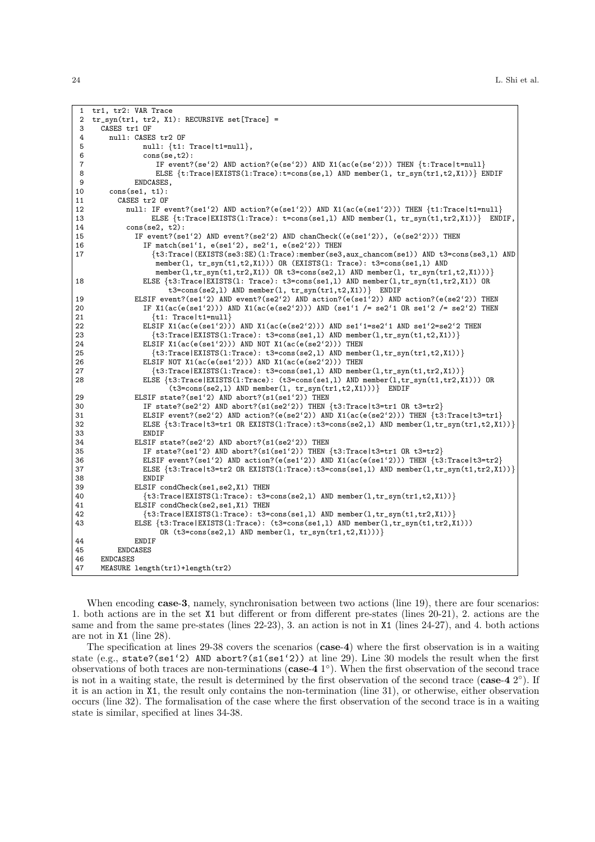| 1        | tr1, tr2: VAR Trace                                                                                                                                                    |
|----------|------------------------------------------------------------------------------------------------------------------------------------------------------------------------|
| 2        | $tr_syn(tr1, tr2, X1)$ : RECURSIVE set [Trace] =                                                                                                                       |
| 3        | CASES tr1 OF                                                                                                                                                           |
| 4        | null: CASES tr2 OF                                                                                                                                                     |
| 5        | $null: \{t1: Trace t1=null\},\$                                                                                                                                        |
| 6        | $cons(se,t2)$ :                                                                                                                                                        |
| 7        | IF event?(se'2) AND action?(e(se'2)) AND X1(ac(e(se'2))) THEN $\{t:\text{Trace} t = null\}$                                                                            |
| 8        | ELSE $\{t:Trace EXISTS(1:Trace):t=cons(se,1)$ AND member(1, $tr\_syn(tr1,t2,X1)\}$ ENDIF                                                                               |
| 9        | ENDCASES,                                                                                                                                                              |
| 10       | cons(self, t1):                                                                                                                                                        |
| 11       | CASES tr2 OF                                                                                                                                                           |
| 12       | null: IF event?(se1'2) AND action?(e(se1'2)) AND X1(ac(e(se1'2))) THEN {t1:Trace t1=null}                                                                              |
| 13       | ELSE $\{t:Trace EXISTS(1:Trace): t=cons(self,1)$ AND member $(1, tr\_syn(t1, tr2, X1))\}$ ENDIF,                                                                       |
| 14       | cons(se2, t2):                                                                                                                                                         |
| 15       | IF event?(se1'2) AND event?(se2'2) AND chanCheck((e(se1'2)), (e(se2'2))) THEN                                                                                          |
| 16       | IF match(se1'1, $e$ (se1'2), se2'1, $e$ (se2'2)) THEN                                                                                                                  |
| 17       | $\{t3:Trace(KXISTS(se3:SE)(1:Trace):member(se3,aux_chancom(se1))$ AND $t3=cons(se3,1)$ AND                                                                             |
|          | member(1, tr_syn(t1,t2,X1))) OR (EXISTS(1: Trace): t3=cons(se1,1) AND                                                                                                  |
|          | member $(1, tr\_syn(t1, tr2, X1))$ OR t3=cons(se2,1) AND member $(1, tr\_syn(tr1, t2, X1)))$                                                                           |
| 18       | ELSE $\{t3:Trace EXISTS(1: Trace): t3=cons(self,1)$ AND member $(1, tr_syn(t1, tr2, X1))$ OR                                                                           |
|          | $t3 = \text{cons}(se2,1)$ AND member(1, $tr_syn(tr1, t2, X1))$ ENDIF                                                                                                   |
| 19       | ELSIF event?(se1'2) AND event?(se2'2) AND action?(e(se1'2)) AND action?(e(se2'2)) THEN                                                                                 |
| 20       | IF X1(ac(e(se1'2))) AND X1(ac(e(se2'2))) AND (se1'1 /= se2'1 OR se1'2 /= se2'2) THEN                                                                                   |
| 21       | $\{t1: Trace t1=null\}$                                                                                                                                                |
| 22       | ELSIF X1(ac(e(se1'2))) AND X1(ac(e(se2'2))) AND se1'1=se2'1 AND se1'2=se2'2 THEN                                                                                       |
| 23       | $\{t3:Trace EXISTS(1:Trace): t3=cons(self,1) AND member(1,tr_syn(t1,t2,X1))\}$                                                                                         |
| 24       | ELSIF $X1(ac(e(se1'2)))$ AND NOT $X1(ac(e(se2'2)))$ THEN                                                                                                               |
| 25       | $\{t3:Trace EXISTS(1:Trace): t3=cons(se2,1)$ AND member $(1,tr\_syn(tr1,t2,X1))\}$                                                                                     |
| 26       | ELSIF NOT $X1(ac(e(se1'2)))$ AND $X1(ac(e(se2'2)))$ THEN                                                                                                               |
| 27       | $\{t3:Trace EXISTS(1:Trace): t3=cons(self,1)$ AND member $(1,tr\_syn(t1,tr2,X1))\}$                                                                                    |
| 28       | ELSE $\{t3:Trace EXISTS(1:Trace): (t3=cons(se1,1)$ AND member $(1, tr\_syn(t1, tr2, X1)))$ OR                                                                          |
|          | $(t3=cons(se2,1)$ AND member(1, $tr_syn(tr1, t2, X1))$ ) ENDIF                                                                                                         |
| 29       | ELSIF state?(se1'2) AND abort?(s1(se1'2)) THEN                                                                                                                         |
| 30<br>31 | IF state?(se2'2) AND abort?(s1(se2'2)) THEN $\{t3:Trace t3=tr1$ OR $t3=tr2\}$<br>ELSIF event?(se2'2) AND action?(e(se2'2)) AND X1(ac(e(se2'2))) THEN {t3:Trace t3=tr1} |
| 32       | ELSE $\{t3:Trace t3=tr1 \text{ OR EXISTS}(1:Trace):t3=cons(se2,1) \text{ AND member}(1,tr_syn(tr1,t2,X1))\}$                                                           |
| 33       | ENDIF                                                                                                                                                                  |
| 34       | ELSIF state?(se2'2) AND abort?(s1(se2'2)) THEN                                                                                                                         |
| 35       | IF state?(se1'2) AND abort?(s1(se1'2)) THEN $\{t3:Trace t3=tr1 \text{ OR } t3=tr2\}$                                                                                   |
| 36       | ELSIF event?(se1'2) AND action?(e(se1'2)) AND X1(ac(e(se1'2))) THEN {t3:Trace t3=tr2}                                                                                  |
| 37       | ELSE $\{t3:Trace t3=tr2 \text{ OR EXISTS}(1:Trace):t3=cons(self,1) \text{ AND member}(1, tr_syn(t1, tr2, X1))\}$                                                       |
| 38       | ENDIF                                                                                                                                                                  |
| 39       | ELSIF condCheck(se1,se2,X1) THEN                                                                                                                                       |
| 40       | $\{t3:Trace EXISTS(1:Trace): t3=cons(se2,1)$ AND member $(1,tr\_syn(tr1, t2, X1))\}$                                                                                   |
| 41       | ELSIF condCheck(se2,se1,X1) THEN                                                                                                                                       |
| 42       | $\{t3:Trace EXISTS(1:Trace): t3=cons(self,1) AND member(1, tr_syn(t1, tr2, X1))\}$                                                                                     |
| 43       | ELSE $\{t3:Trace EXISTS(1:Trace): (t3=cons(se1,1) AND member(1,tr_syn(t1,tr2,X1)))\}$                                                                                  |
|          | OR $(t3=cons(se2,1)$ AND member(1, $tr_syn(tr1,t2,X1))$ )                                                                                                              |
| 44       | ENDIF                                                                                                                                                                  |
| 45       | <b>ENDCASES</b>                                                                                                                                                        |
| 46       | <b>ENDCASES</b>                                                                                                                                                        |
| 47       | MEASURE length(tr1)+length(tr2)                                                                                                                                        |

When encoding **case-3**, namely, synchronisation between two actions (line 19), there are four scenarios: 1. both actions are in the set X1 but different or from different pre-states (lines 20-21), 2. actions are the same and from the same pre-states (lines 22-23), 3. an action is not in X1 (lines 24-27), and 4. both actions are not in X1 (line 28).

The specification at lines 29-38 covers the scenarios (case-4) where the first observation is in a waiting state (e.g., state?(se1'2) AND abort?(s1(se1'2)) at line 29). Line 30 models the result when the first observations of both traces are non-terminations (case-4 1<sup>o</sup>). When the first observation of the second trace is not in a waiting state, the result is determined by the first observation of the second trace ( $\cose-4$   $2^{\circ}$ ). If it is an action in X1, the result only contains the non-termination (line 31), or otherwise, either observation occurs (line 32). The formalisation of the case where the first observation of the second trace is in a waiting state is similar, specified at lines 34-38.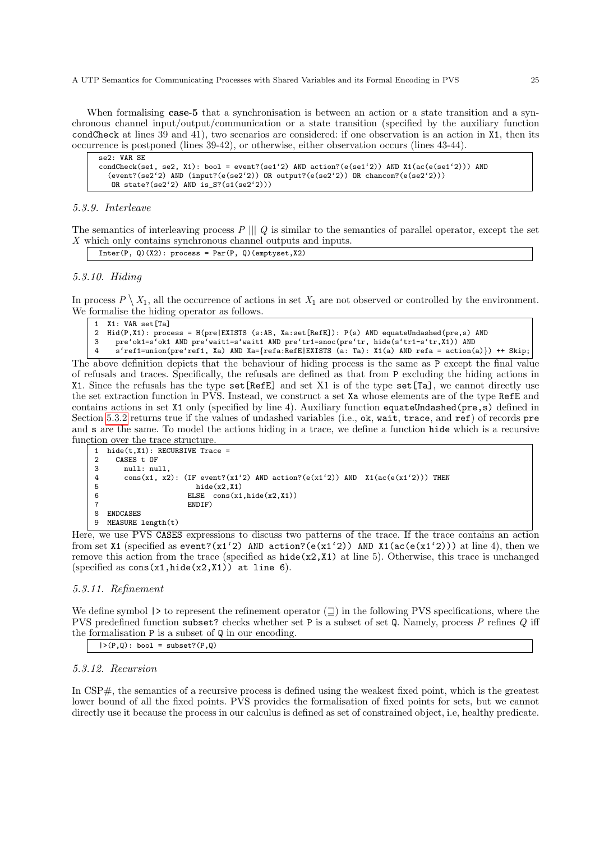When formalising case-5 that a synchronisation is between an action or a state transition and a synchronous channel input/output/communication or a state transition (specified by the auxiliary function condCheck at lines 39 and 41), two scenarios are considered: if one observation is an action in X1, then its occurrence is postponed (lines 39-42), or otherwise, either observation occurs (lines 43-44).

```
se2: VAR SE
condCheck(se1, se2, X1): bool = event?(se1'2) AND action?(e(se1'2)) AND X1(ac(e(se1'2))) AND
 (event?(se2'2) AND (input?(e(se2'2)) OR output?(e(se2'2)) OR chancom?(e(se2'2)))
  OR state?(se2'2) AND is_S?(s1(se2'2)))
```
# 5.3.9. Interleave

The semantics of interleaving process  $P \parallel \parallel Q$  is similar to the semantics of parallel operator, except the set X which only contains synchronous channel outputs and inputs.

| $Inter(P, Q)(X2)$ : process = Par $(P, Q)(empty set, X2)$ |  |  |  |
|-----------------------------------------------------------|--|--|--|
|-----------------------------------------------------------|--|--|--|

### 5.3.10. Hiding

In process  $P \setminus X_1$ , all the occurrence of actions in set  $X_1$  are not observed or controlled by the environment. We formalise the hiding operator as follows.

1 X1: VAR set $[Ta]$ <br>2 Hid $(PX1)$ : proc

2 Hid(P,X1): process = H(pre|EXISTS (s:AB, Xa:set[RefE]): P(s) AND equateUndashed(pre,s) AND<br>3 pre'ok1=s'ok1 AND pre'vait1=s'vait1 AND pre'tr1=spoc(pre'tr, hide(s'tr1-s'tr,X1)) AND 3 pre'ok1=s'ok1 AND pre'wait1=s'wait1 AND pre'tr1=snoc(pre'tr, hide(s'tr1-s'tr,X1)) AND<br>4 s'ref1=union(pre'ref1 Xa) AND Xa={refa:BefF|FXISTS (a: Ta): X1(a) AND refa = action(

 $s'$ ref1=union(pre'ref1, Xa) AND Xa={refa:RefE|EXISTS (a: Ta): X1(a) AND refa = action(a)}) ++ Skip;

The above definition depicts that the behaviour of hiding process is the same as P except the final value of refusals and traces. Specifically, the refusals are defined as that from P excluding the hiding actions in X1. Since the refusals has the type set[RefE] and set X1 is of the type set[Ta], we cannot directly use the set extraction function in PVS. Instead, we construct a set Xa whose elements are of the type RefE and contains actions in set X1 only (specified by line 4). Auxiliary function equateUndashed(pre,s) defined in Section [5.3.2](#page-19-1) returns true if the values of undashed variables (i.e., ok, wait, trace, and ref) of records pre and s are the same. To model the actions hiding in a trace, we define a function hide which is a recursive function over the trace structure.

```
1 hide(t, X1): RECURSIVE Trace =<br>2 CASES + OF
2 CASES t OF<br>3 null: nul
3 null: null,<br>4 cons(x1, x2)\begin{array}{lll} 4 & \cos(x1, x2) : \text{ (IF event?}(x1'2) & \text{AND action?}(e(x1'2)) & \text{AND } X1(\text{ac}(e(x1'2))) & \text{THEN} \\ & \text{hide}(x2.X1) & \end{array}5 hide(x2,X1)<br>6 ELSE cons(x1)
6 ELSE \cos(x1, \text{hide}(x2, X1))<br>
\overline{C} ENDIF)
7 ENDCASES ENDIF)
8 ENDCASES<br>9 MEASURE
    MEASURE length(t)
```
Here, we use PVS CASES expressions to discuss two patterns of the trace. If the trace contains an action from set X1 (specified as event?(x1'2) AND action?(e(x1'2)) AND X1(ac(e(x1'2))) at line 4), then we remove this action from the trace (specified as hide $(x2, x1)$  at line 5). Otherwise, this trace is unchanged (specified as  $cons(x1, hide(x2, X1))$  at line 6).

#### 5.3.11. Refinement

We define symbol  $\triangleright$  to represent the refinement operator  $\supseteq$  in the following PVS specifications, where the PVS predefined function subset? checks whether set P is a subset of set Q. Namely, process P refines Q iff the formalisation  $P$  is a subset of  $Q$  in our encoding.

|  |  |  | $ >(P,Q):$ bool = subset? $(P,Q)$ |
|--|--|--|-----------------------------------|
|--|--|--|-----------------------------------|

#### <span id="page-24-0"></span>5.3.12. Recursion

In CSP#, the semantics of a recursive process is defined using the weakest fixed point, which is the greatest lower bound of all the fixed points. PVS provides the formalisation of fixed points for sets, but we cannot directly use it because the process in our calculus is defined as set of constrained object, i.e, healthy predicate.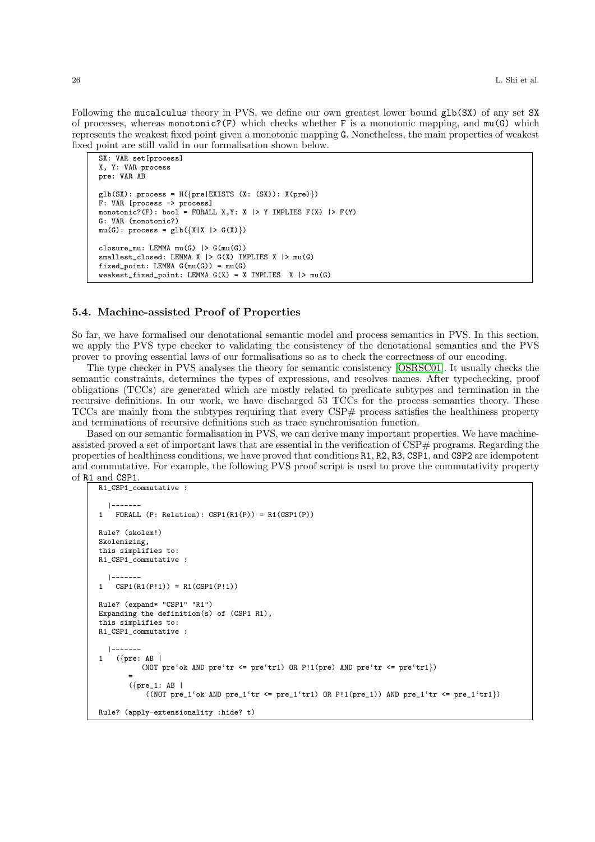Following the mucalculus theory in PVS, we define our own greatest lower bound glb(SX) of any set SX of processes, whereas monotonic?(F) which checks whether F is a monotonic mapping, and mu(G) which represents the weakest fixed point given a monotonic mapping G. Nonetheless, the main properties of weakest fixed point are still valid in our formalisation shown below.

```
SX: VAR set[process]
X, Y: VAR process
pre: VAR AB
glb(SX): process = H({pre|EXISTS (X: (SX)): X(pre)})
F: VAR [process -> process]
monotonic?(F): bool = FORALL X, Y: X |> Y IMPLIES F(X) |> F(Y)G: VAR (monotonic?)
mu(G): process = glb({X|X | > G(X)})closure_mu: LEMMA mu(G) |> G(mu(G))
smallest_closed: LEMMA X |> G(X) IMPLIES X |> mu(G)
fixed\_point: LEMMA G(mu(G)) = mu(G)weakest\_fixed\_point: LEMMA G(X) = X IMPLIES X \geq m u(G)
```
# 5.4. Machine-assisted Proof of Properties

So far, we have formalised our denotational semantic model and process semantics in PVS. In this section, we apply the PVS type checker to validating the consistency of the denotational semantics and the PVS prover to proving essential laws of our formalisations so as to check the correctness of our encoding.

The type checker in PVS analyses the theory for semantic consistency [\[OSRSC01\]](#page-28-17). It usually checks the semantic constraints, determines the types of expressions, and resolves names. After typechecking, proof obligations (TCCs) are generated which are mostly related to predicate subtypes and termination in the recursive definitions. In our work, we have discharged 53 TCCs for the process semantics theory. These TCCs are mainly from the subtypes requiring that every CSP# process satisfies the healthiness property and terminations of recursive definitions such as trace synchronisation function.

Based on our semantic formalisation in PVS, we can derive many important properties. We have machineassisted proved a set of important laws that are essential in the verification of  $\text{CSP}\#$  programs. Regarding the properties of healthiness conditions, we have proved that conditions R1, R2, R3, CSP1, and CSP2 are idempotent and commutative. For example, the following PVS proof script is used to prove the commutativity property of R1 and CSP1.

```
R1_CSP1_commutative :
  |-------
1 FORALL (P: Relation): CSP1(R1(P)) = R1(CSP1(P))Rule? (skolem!)
Skolemizing,
this simplifies to:
R1_CSP1_commutative :
  |-------
1 CSP1(R1(P!1)) = R1(CSP1(P!1))Rule? (expand* "CSP1" "R1")
Expanding the definition(s) of (CSP1 R1),
this simplifies to:
R1_CSP1_commutative :
  \perp1 ({pre: AB |
          (NOT pre'ok AND pre'tr \leq pre'tr1) OR P!1(pre) AND pre'tr \leq pre'tr1})
       =
       ({pre_1: AB |
           ((NOT pre_1'ok AND pre_1'tr <= pre_1'tr1) OR P!1(pre_1)) AND pre_1'tr <= pre_1'tr1})
Rule? (apply-extensionality :hide? t)
```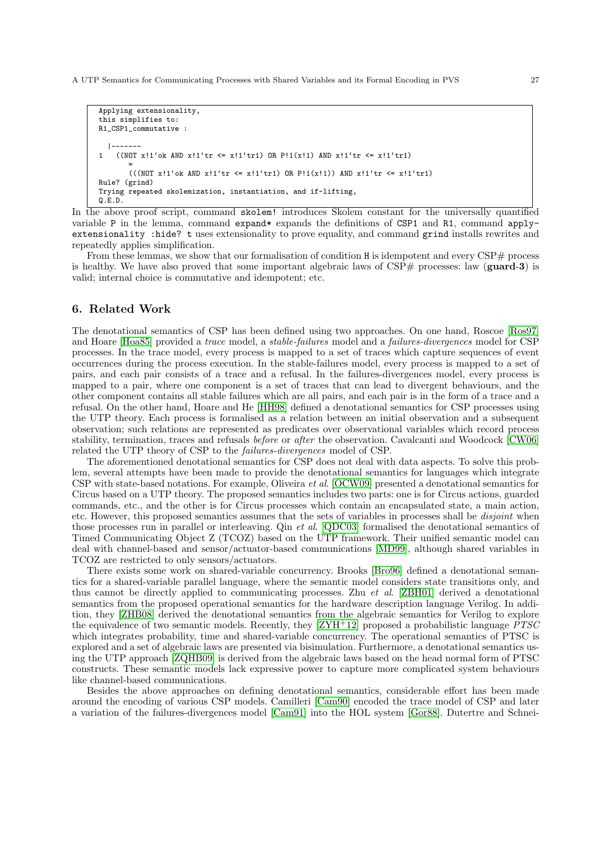```
Applying extensionality,
this simplifies to:
R1_CSP1_commutative :
     |-------
1 ((NOT x!1'ok AND x!1'tr \leq x!1'tr1) OR P!1(x!1) AND x!1'tr \leq x!1'tr1)
                =
               ((\text{NOT } x \text{!1}' \text{ok AND } x \text{!1}' \text{tr} \leq x \text{!1}' \text{tr} \leq x \text{!1}' \text{tr}) \text{OR } P \text{!1}(x \text{!1}) AND x \text{!1}' \text{tr} \leq x \text{!1}' \text{tr} \leq x \text{!1}' \text{tr} \leq x \text{!1}' \text{tr} \leq x \text{!1}' \text{tr} \leq x \text{!1}' \text{tr} \leq x \text{!1}' \text{tr} \leq x \text{!1}' \text{tr} \leq x \text{!1}' \text{tr} \Rule? (grind)
Trying repeated skolemization, instantiation, and if-lifting,
Q.E.D.
```
In the above proof script, command skolem! introduces Skolem constant for the universally quantified variable P in the lemma, command expand\* expands the definitions of CSP1 and R1, command applyextensionality :hide? t uses extensionality to prove equality, and command grind installs rewrites and repeatedly applies simplification.

From these lemmas, we show that our formalisation of condition  $H$  is idempotent and every  $CSP#$  process is healthy. We have also proved that some important algebraic laws of  $CSP#$  processes: law (guard-3) is valid; internal choice is commutative and idempotent; etc.

# <span id="page-26-0"></span>6. Related Work

The denotational semantics of CSP has been defined using two approaches. On one hand, Roscoe [\[Ros97\]](#page-29-10) and Hoare [\[Hoa85\]](#page-28-0) provided a trace model, a stable-failures model and a failures-divergences model for CSP processes. In the trace model, every process is mapped to a set of traces which capture sequences of event occurrences during the process execution. In the stable-failures model, every process is mapped to a set of pairs, and each pair consists of a trace and a refusal. In the failures-divergences model, every process is mapped to a pair, where one component is a set of traces that can lead to divergent behaviours, and the other component contains all stable failures which are all pairs, and each pair is in the form of a trace and a refusal. On the other hand, Hoare and He [\[HH98\]](#page-28-7) defined a denotational semantics for CSP processes using the UTP theory. Each process is formalised as a relation between an initial observation and a subsequent observation; such relations are represented as predicates over observational variables which record process stability, termination, traces and refusals before or after the observation. Cavalcanti and Woodcock [\[CW06\]](#page-28-16) related the UTP theory of CSP to the failures-divergences model of CSP.

The aforementioned denotational semantics for CSP does not deal with data aspects. To solve this problem, several attempts have been made to provide the denotational semantics for languages which integrate CSP with state-based notations. For example, Oliveira et al. [\[OCW09\]](#page-28-18) presented a denotational semantics for Circus based on a UTP theory. The proposed semantics includes two parts: one is for Circus actions, guarded commands, etc., and the other is for Circus processes which contain an encapsulated state, a main action, etc. However, this proposed semantics assumes that the sets of variables in processes shall be *disjoint* when those processes run in parallel or interleaving. Qin et al. [\[QDC03\]](#page-29-3) formalised the denotational semantics of Timed Communicating Object Z (TCOZ) based on the UTP framework. Their unified semantic model can deal with channel-based and sensor/actuator-based communications [\[MD99\]](#page-28-19), although shared variables in TCOZ are restricted to only sensors/actuators.

There exists some work on shared-variable concurrency. Brooks [\[Bro96\]](#page-28-20) defined a denotational semantics for a shared-variable parallel language, where the semantic model considers state transitions only, and thus cannot be directly applied to communicating processes. Zhu et al. [\[ZBH01\]](#page-29-14) derived a denotational semantics from the proposed operational semantics for the hardware description language Verilog. In addition, they [\[ZHB08\]](#page-29-15) derived the denotational semantics from the algebraic semantics for Verilog to explore the equivalence of two semantic models. Recently, they  $[ZYH<sup>+</sup>12]$  $[ZYH<sup>+</sup>12]$  proposed a probabilistic language *PTSC* which integrates probability, time and shared-variable concurrency. The operational semantics of PTSC is explored and a set of algebraic laws are presented via bisimulation. Furthermore, a denotational semantics using the UTP approach [\[ZQHB09\]](#page-29-17) is derived from the algebraic laws based on the head normal form of PTSC constructs. These semantic models lack expressive power to capture more complicated system behaviours like channel-based communications.

Besides the above approaches on defining denotational semantics, considerable effort has been made around the encoding of various CSP models. Camilleri [\[Cam90\]](#page-28-21) encoded the trace model of CSP and later a variation of the failures-divergences model [\[Cam91\]](#page-28-22) into the HOL system [\[Gor88\]](#page-28-23). Dutertre and Schnei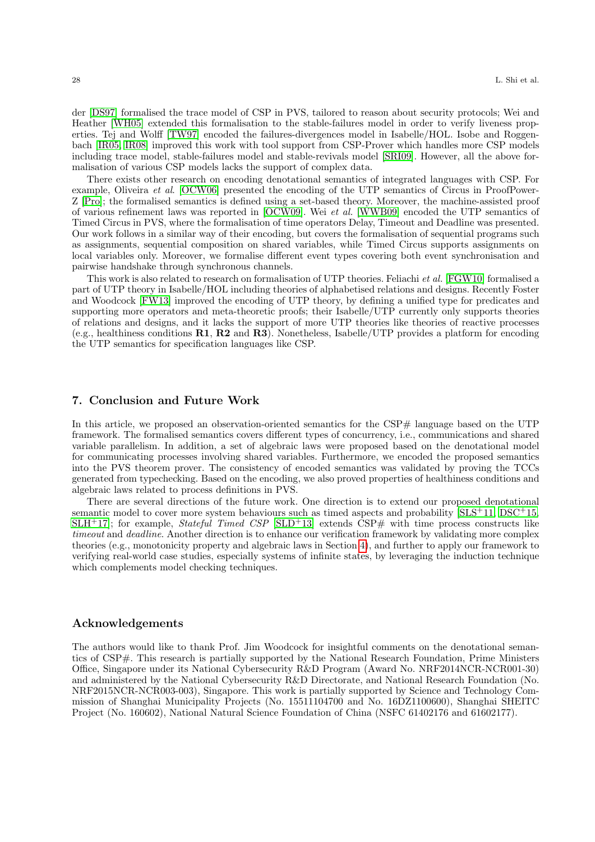der [\[DS97\]](#page-28-24) formalised the trace model of CSP in PVS, tailored to reason about security protocols; Wei and Heather [\[WH05\]](#page-29-18) extended this formalisation to the stable-failures model in order to verify liveness properties. Tej and Wolff [\[TW97\]](#page-29-19) encoded the failures-divergences model in Isabelle/HOL. Isobe and Roggenbach [\[IR05,](#page-28-25) [IR08\]](#page-28-26) improved this work with tool support from CSP-Prover which handles more CSP models including trace model, stable-failures model and stable-revivals model [\[SRI09\]](#page-29-20). However, all the above formalisation of various CSP models lacks the support of complex data.

There exists other research on encoding denotational semantics of integrated languages with CSP. For example, Oliveira et al. [\[OCW06\]](#page-28-27) presented the encoding of the UTP semantics of Circus in ProofPower-Z [\[Pro\]](#page-29-21); the formalised semantics is defined using a set-based theory. Moreover, the machine-assisted proof of various refinement laws was reported in [\[OCW09\]](#page-28-18). Wei et al. [\[WWB09\]](#page-29-22) encoded the UTP semantics of Timed Circus in PVS, where the formalisation of time operators Delay, Timeout and Deadline was presented. Our work follows in a similar way of their encoding, but covers the formalisation of sequential programs such as assignments, sequential composition on shared variables, while Timed Circus supports assignments on local variables only. Moreover, we formalise different event types covering both event synchronisation and pairwise handshake through synchronous channels.

This work is also related to research on formalisation of UTP theories. Feliachi et al. [\[FGW10\]](#page-28-28) formalised a part of UTP theory in Isabelle/HOL including theories of alphabetised relations and designs. Recently Foster and Woodcock [\[FW13\]](#page-28-29) improved the encoding of UTP theory, by defining a unified type for predicates and supporting more operators and meta-theoretic proofs; their Isabelle/UTP currently only supports theories of relations and designs, and it lacks the support of more UTP theories like theories of reactive processes (e.g., healthiness conditions  $\bf R1, \bf R2$  and  $\bf R3$ ). Nonetheless, Isabelle/UTP provides a platform for encoding the UTP semantics for specification languages like CSP.

# <span id="page-27-0"></span>7. Conclusion and Future Work

In this article, we proposed an observation-oriented semantics for the CSP# language based on the UTP framework. The formalised semantics covers different types of concurrency, i.e., communications and shared variable parallelism. In addition, a set of algebraic laws were proposed based on the denotational model for communicating processes involving shared variables. Furthermore, we encoded the proposed semantics into the PVS theorem prover. The consistency of encoded semantics was validated by proving the TCCs generated from typechecking. Based on the encoding, we also proved properties of healthiness conditions and algebraic laws related to process definitions in PVS.

There are several directions of the future work. One direction is to extend our proposed denotational semantic model to cover more system behaviours such as timed aspects and probability  $[SLS+11, DSC+15,$  $[SLS+11, DSC+15,$  $[SLS+11, DSC+15,$  $[SLS+11, DSC+15,$  $SLH+17$  $SLH+17$ ; for example, *Stateful Timed CSP* [\[SLD](#page-29-25)<sup>+</sup>13] extends CSP# with time process constructs like timeout and *deadline*. Another direction is to enhance our verification framework by validating more complex theories (e.g., monotonicity property and algebraic laws in Section [4\)](#page-14-0), and further to apply our framework to verifying real-world case studies, especially systems of infinite states, by leveraging the induction technique which complements model checking techniques.

#### Acknowledgements

The authors would like to thank Prof. Jim Woodcock for insightful comments on the denotational semantics of CSP#. This research is partially supported by the National Research Foundation, Prime Ministers Office, Singapore under its National Cybersecurity R&D Program (Award No. NRF2014NCR-NCR001-30) and administered by the National Cybersecurity R&D Directorate, and National Research Foundation (No. NRF2015NCR-NCR003-003), Singapore. This work is partially supported by Science and Technology Commission of Shanghai Municipality Projects (No. 15511104700 and No. 16DZ1100600), Shanghai SHEITC Project (No. 160602), National Natural Science Foundation of China (NSFC 61402176 and 61602177).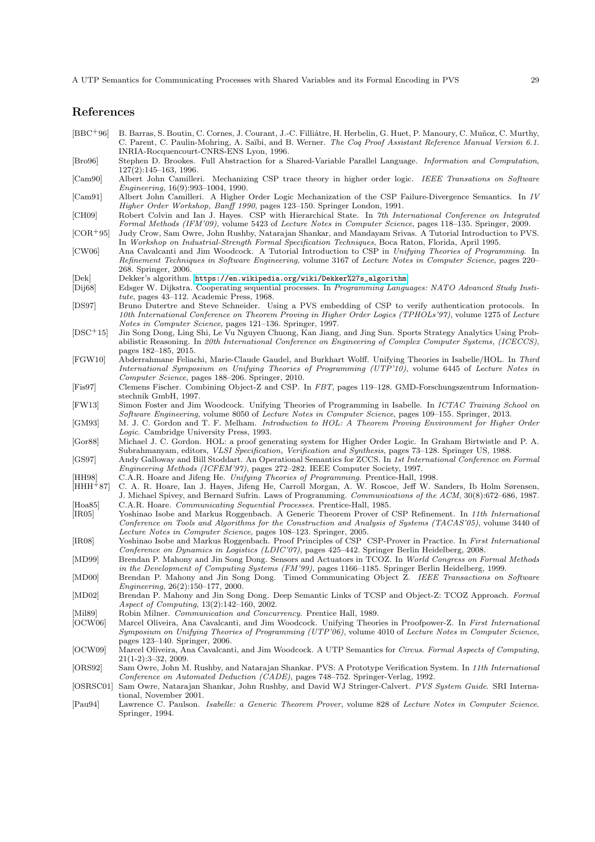#### References

- <span id="page-28-30"></span><span id="page-28-29"></span><span id="page-28-28"></span><span id="page-28-24"></span><span id="page-28-22"></span><span id="page-28-21"></span><span id="page-28-20"></span><span id="page-28-16"></span><span id="page-28-15"></span><span id="page-28-14"></span><span id="page-28-13"></span><span id="page-28-12"></span><span id="page-28-5"></span><span id="page-28-2"></span>[BBC+96] B. Barras, S. Boutin, C. Cornes, J. Courant, J.-C. Filliâtre, H. Herbelin, G. Huet, P. Manoury, C. Muñoz, C. Murthy, C. Parent, C. Paulin-Mohring, A. Saïbi, and B. Werner. The Coq Proof Assistant Reference Manual Version 6.1. INRIA-Rocquencourt-CNRS-ENS Lyon, 1996. [Bro96] Stephen D. Brookes. Full Abstraction for a Shared-Variable Parallel Language. Information and Computation, 127(2):145–163, 1996. [Cam90] Albert John Camilleri. Mechanizing CSP trace theory in higher order logic. IEEE Transations on Software Engineering, 16(9):993–1004, 1990. [Cam91] Albert John Camilleri. A Higher Order Logic Mechanization of the CSP Failure-Divergence Semantics. In IV Higher Order Workshop, Banff 1990, pages 123–150. Springer London, 1991. [CH09] Robert Colvin and Ian J. Hayes. CSP with Hierarchical State. In 7th International Conference on Integrated Formal Methods (IFM'09), volume 5423 of Lecture Notes in Computer Science, pages 118–135. Springer, 2009. [COR+95] Judy Crow, Sam Owre, John Rushby, Natarajan Shankar, and Mandayam Srivas. A Tutorial Introduction to PVS. In Workshop on Industrial-Strength Formal Specification Techniques, Boca Raton, Florida, April 1995. [CW06] Ana Cavalcanti and Jim Woodcock. A Tutorial Introduction to CSP in Unifying Theories of Programming. In Refinement Techniques in Software Engineering, volume 3167 of Lecture Notes in Computer Science, pages 220– 268. Springer, 2006. [Dek] Dekker's algorithm. [https://en.wikipedia.org/wiki/Dekker%27s\\_algorithm](https://en.wikipedia.org/wiki/Dekker%27s_algorithm). [Dij68] Edsger W. Dijkstra. Cooperating sequential processes. In Programming Languages: NATO Advanced Study Institute, pages 43–112. Academic Press, 1968. [DS97] Bruno Dutertre and Steve Schneider. Using a PVS embedding of CSP to verify authentication protocols. In 10th International Conference on Theorem Proving in Higher Order Logics (TPHOLs'97), volume 1275 of Lecture Notes in Computer Science, pages 121–136. Springer, 1997. [DSC+15] Jin Song Dong, Ling Shi, Le Vu Nguyen Chuong, Kan Jiang, and Jing Sun. Sports Strategy Analytics Using Probabilistic Reasoning. In 20th International Conference on Engineering of Complex Computer Systems, (ICECCS), pages 182–185, 2015. [FGW10] Abderrahmane Feliachi, Marie-Claude Gaudel, and Burkhart Wolff. Unifying Theories in Isabelle/HOL. In Third International Symposium on Unifying Theories of Programming (UTP'10), volume 6445 of Lecture Notes in Computer Science, pages 188–206. Springer, 2010. [Fis97] Clemens Fischer. Combining Object-Z and CSP. In FBT, pages 119–128. GMD-Forschungszentrum Informationstechnik GmbH, 1997. [FW13] Simon Foster and Jim Woodcock. Unifying Theories of Programming in Isabelle. In ICTAC Training School on Software Engineering, volume 8050 of Lecture Notes in Computer Science, pages 109–155. Springer, 2013. [GM93] M. J. C. Gordon and T. F. Melham. Introduction to HOL: A Theorem Proving Environment for Higher Order Logic. Cambridge University Press, 1993. [Gor88] Michael J. C. Gordon. HOL: a proof generating system for Higher Order Logic. In Graham Birtwistle and P. A. Subrahmanyam, editors, VLSI Specification, Verification and Synthesis, pages 73–128. Springer US, 1988. [GS97] Andy Galloway and Bill Stoddart. An Operational Semantics for ZCCS. In 1st International Conference on Formal Engineering Methods (ICFEM'97), pages 272–282. IEEE Computer Society, 1997. [HH98] C.A.R. Hoare and Jifeng He. *Unifying Theories of Programming*. Prentice-Hall, 1998.<br>[HHH<sup>+</sup>87] C. A. R. Hoare, Ian J. Hayes, Jifeng He, Carroll Morgan, A. W. Roscoe, Jeff W. Sanders, Ib Holm Sørensen, J. Michael Spivey, and Bernard Sufrin. Laws of Programming. Communications of the ACM, 30(8):672–686, 1987. [Hoa85] C.A.R. Hoare. *Communicating Sequential Processes*. Prentice-Hall, 1985.<br>[IR05] Yoshinao Isobe and Markus Roggenbach. A Generic Theorem Prover of Yoshinao Isobe and Markus Roggenbach. A Generic Theorem Prover of CSP Refinement. In 11th International Conference on Tools and Algorithms for the Construction and Analysis of Systems (TACAS'05), volume 3440 of Lecture Notes in Computer Science, pages 108–123. Springer, 2005. [IR08] Yoshinao Isobe and Markus Roggenbach. Proof Principles of CSP CSP-Prover in Practice. In First International Conference on Dynamics in Logistics (LDIC'07), pages 425–442. Springer Berlin Heidelberg, 2008. [MD99] Brendan P. Mahony and Jin Song Dong. Sensors and Actuators in TCOZ. In World Congress on Formal Methods in the Development of Computing Systems (FM'99), pages 1166–1185. Springer Berlin Heidelberg, 1999. [MD00] Brendan P. Mahony and Jin Song Dong. Timed Communicating Object Z. IEEE Transactions on Software Engineering, 26(2):150–177, 2000. [MD02] Brendan P. Mahony and Jin Song Dong. Deep Semantic Links of TCSP and Object-Z: TCOZ Approach. Formal Aspect of Computing, 13(2):142–160, 2002. [Mil89] Robin Milner. *Communication and Concurrency*. Prentice Hall, 1989. [OCW06] Marcel Oliveira, Ana Cavalcanti, and Jim Woodcock. Unifying Theor Marcel Oliveira, Ana Cavalcanti, and Jim Woodcock. Unifying Theories in Proofpower-Z. In First International Symposium on Unifying Theories of Programming (UTP'06), volume 4010 of Lecture Notes in Computer Science, pages 123–140. Springer, 2006. [OCW09] Marcel Oliveira, Ana Cavalcanti, and Jim Woodcock. A UTP Semantics for Circus. Formal Aspects of Computing, 21(1-2):3–32, 2009. [ORS92] Sam Owre, John M. Rushby, and Natarajan Shankar. PVS: A Prototype Verification System. In 11th International Conference on Automated Deduction (CADE), pages 748–752. Springer-Verlag, 1992. [OSRSC01] Sam Owre, Natarajan Shankar, John Rushby, and David WJ Stringer-Calvert. PVS System Guide. SRI International, November 2001. [Pau94] Lawrence C. Paulson. Isabelle: a Generic Theorem Prover, volume 828 of Lecture Notes in Computer Science.
- <span id="page-28-27"></span><span id="page-28-26"></span><span id="page-28-25"></span><span id="page-28-23"></span><span id="page-28-19"></span><span id="page-28-18"></span><span id="page-28-17"></span><span id="page-28-11"></span><span id="page-28-10"></span><span id="page-28-9"></span><span id="page-28-8"></span><span id="page-28-7"></span><span id="page-28-6"></span><span id="page-28-4"></span><span id="page-28-3"></span><span id="page-28-1"></span><span id="page-28-0"></span>Springer, 1994.